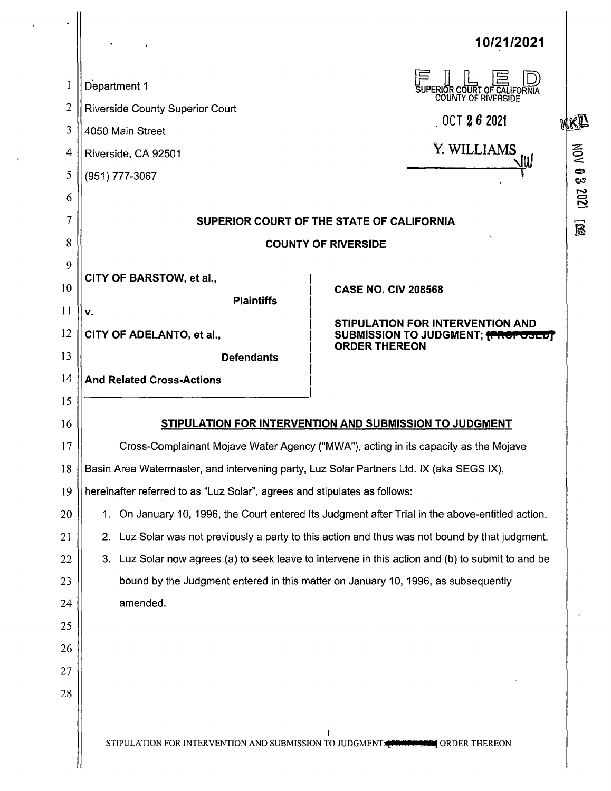|              | ł.                                                                                                | 10/21/2021                                                                        |  |  |  |  |  |  |
|--------------|---------------------------------------------------------------------------------------------------|-----------------------------------------------------------------------------------|--|--|--|--|--|--|
| $\mathbf{I}$ | Department 1                                                                                      | SUPERIOR COURT OF CALIFORNIA                                                      |  |  |  |  |  |  |
| 2            | <b>Riverside County Superior Court</b>                                                            | $0$ CT $262021$                                                                   |  |  |  |  |  |  |
| 3            | 4050 Main Street                                                                                  | KKR                                                                               |  |  |  |  |  |  |
| 4            | Riverside, CA 92501                                                                               | Y. WILLIAMS<br>JW                                                                 |  |  |  |  |  |  |
| 5            | (951) 777-3067                                                                                    |                                                                                   |  |  |  |  |  |  |
| 6            |                                                                                                   |                                                                                   |  |  |  |  |  |  |
| 7            | SUPERIOR COURT OF THE STATE OF CALIFORNIA<br>$\widehat{\mathbb{B}}$                               |                                                                                   |  |  |  |  |  |  |
| 8            | <b>COUNTY OF RIVERSIDE</b>                                                                        |                                                                                   |  |  |  |  |  |  |
| 9            | CITY OF BARSTOW, et al.,                                                                          |                                                                                   |  |  |  |  |  |  |
| 10           | <b>Plaintiffs</b>                                                                                 | <b>CASE NO. CIV 208568</b>                                                        |  |  |  |  |  |  |
| 11           | v.                                                                                                |                                                                                   |  |  |  |  |  |  |
| 12           | CITY OF ADELANTO, et al.,                                                                         | STIPULATION FOR INTERVENTION AND<br>SUBMISSION TO JUDGMENT; FROPOSEDT             |  |  |  |  |  |  |
| 13           | <b>Defendants</b>                                                                                 | <b>ORDER THEREON</b>                                                              |  |  |  |  |  |  |
| 14           | <b>And Related Cross-Actions</b>                                                                  |                                                                                   |  |  |  |  |  |  |
| 15           |                                                                                                   |                                                                                   |  |  |  |  |  |  |
| 16           | STIPULATION FOR INTERVENTION AND SUBMISSION TO JUDGMENT                                           |                                                                                   |  |  |  |  |  |  |
| 17           | Cross-Complainant Mojave Water Agency ("MWA"), acting in its capacity as the Mojave               |                                                                                   |  |  |  |  |  |  |
| 18           | Basin Area Watermaster, and intervening party, Luz Solar Partners Ltd. IX (aka SEGS IX),          |                                                                                   |  |  |  |  |  |  |
| 19           | hereinafter referred to as "Luz Solar", agrees and stipulates as follows:                         |                                                                                   |  |  |  |  |  |  |
| 20           | 1. On January 10, 1996, the Court entered Its Judgment after Trial in the above-entitled action.  |                                                                                   |  |  |  |  |  |  |
| 21           | 2. Luz Solar was not previously a party to this action and thus was not bound by that judgment.   |                                                                                   |  |  |  |  |  |  |
| 22           | 3. Luz Solar now agrees (a) to seek leave to intervene in this action and (b) to submit to and be |                                                                                   |  |  |  |  |  |  |
| 23           |                                                                                                   | bound by the Judgment entered in this matter on January 10, 1996, as subsequently |  |  |  |  |  |  |
| 24           | amended.                                                                                          |                                                                                   |  |  |  |  |  |  |
| 25           |                                                                                                   |                                                                                   |  |  |  |  |  |  |
| 26           |                                                                                                   |                                                                                   |  |  |  |  |  |  |
| 27           |                                                                                                   |                                                                                   |  |  |  |  |  |  |
| 28           |                                                                                                   |                                                                                   |  |  |  |  |  |  |
|              |                                                                                                   | STIPULATION FOR INTERVENTION AND SUBMISSION TO JUDGMENT FROPOSIC ORDER THEREON    |  |  |  |  |  |  |

 $\hat{\mathbf{v}}$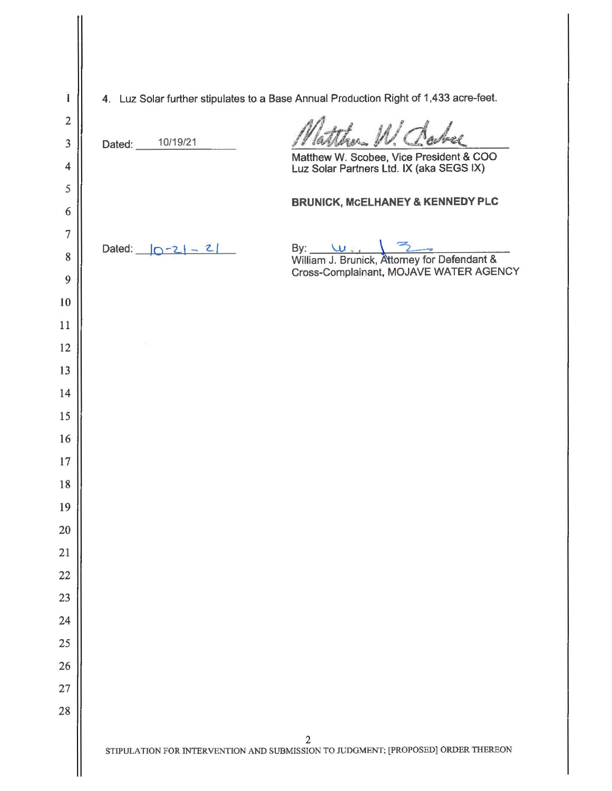| $\mathbf{i}$            | 4. Luz Solar further stipulates to a Base Annual Production Right of 1,433 acre-feet.               |  |  |  |  |  |  |  |
|-------------------------|-----------------------------------------------------------------------------------------------------|--|--|--|--|--|--|--|
| $\overline{c}$          | Natther W. Clarke                                                                                   |  |  |  |  |  |  |  |
| $\overline{\mathbf{3}}$ | Dated: 10/19/21                                                                                     |  |  |  |  |  |  |  |
| $\overline{4}$          | Matthew W. Scobee, Vice President & COO<br>Luz Solar Partners Ltd. IX (aka SEGS IX)                 |  |  |  |  |  |  |  |
| 5                       | <b>BRUNICK, MCELHANEY &amp; KENNEDY PLC</b>                                                         |  |  |  |  |  |  |  |
| 6                       |                                                                                                     |  |  |  |  |  |  |  |
| $\overline{7}$          | Dated: $ 0-2  - 2 $                                                                                 |  |  |  |  |  |  |  |
| 8                       | By: W. Communick, Attorney for Defendant &<br>Cross-Complainant, MOJAVE WATER AGENCY                |  |  |  |  |  |  |  |
| 9                       |                                                                                                     |  |  |  |  |  |  |  |
| 10                      |                                                                                                     |  |  |  |  |  |  |  |
| 11                      |                                                                                                     |  |  |  |  |  |  |  |
| 12<br>13                |                                                                                                     |  |  |  |  |  |  |  |
| 14                      |                                                                                                     |  |  |  |  |  |  |  |
| 15                      |                                                                                                     |  |  |  |  |  |  |  |
| 16                      |                                                                                                     |  |  |  |  |  |  |  |
| 17                      |                                                                                                     |  |  |  |  |  |  |  |
| 18                      |                                                                                                     |  |  |  |  |  |  |  |
| 19                      |                                                                                                     |  |  |  |  |  |  |  |
| 20                      |                                                                                                     |  |  |  |  |  |  |  |
| 21                      |                                                                                                     |  |  |  |  |  |  |  |
| 22                      |                                                                                                     |  |  |  |  |  |  |  |
| 23                      |                                                                                                     |  |  |  |  |  |  |  |
| 24                      |                                                                                                     |  |  |  |  |  |  |  |
| 25                      |                                                                                                     |  |  |  |  |  |  |  |
| 26                      |                                                                                                     |  |  |  |  |  |  |  |
| $27\,$                  |                                                                                                     |  |  |  |  |  |  |  |
| 28                      |                                                                                                     |  |  |  |  |  |  |  |
|                         | $\overline{2}$<br>STIPULATION FOR INTERVENTION AND SUBMISSION TO JUDGMENT; [PROPOSED] ORDER THEREON |  |  |  |  |  |  |  |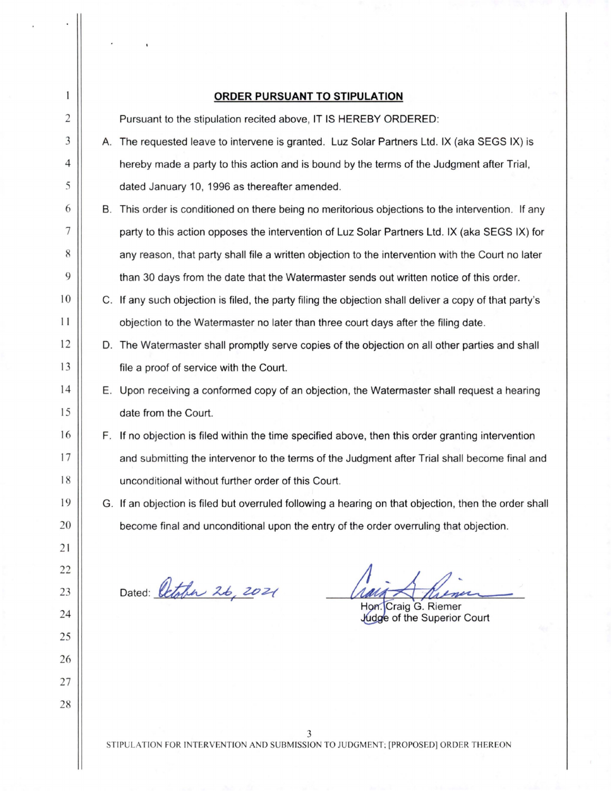| 1              |                                                                                        | <b>ORDER PURSUANT TO STIPULATION</b>                                                                   |  |  |  |  |  |  |  |
|----------------|----------------------------------------------------------------------------------------|--------------------------------------------------------------------------------------------------------|--|--|--|--|--|--|--|
| $\overline{c}$ |                                                                                        | Pursuant to the stipulation recited above, IT IS HEREBY ORDERED:                                       |  |  |  |  |  |  |  |
| 3              |                                                                                        | A. The requested leave to intervene is granted. Luz Solar Partners Ltd. IX (aka SEGS IX) is            |  |  |  |  |  |  |  |
| 4              |                                                                                        | hereby made a party to this action and is bound by the terms of the Judgment after Trial,              |  |  |  |  |  |  |  |
| 5              |                                                                                        | dated January 10, 1996 as thereafter amended.                                                          |  |  |  |  |  |  |  |
| 6              |                                                                                        | B. This order is conditioned on there being no meritorious objections to the intervention. If any      |  |  |  |  |  |  |  |
| 7              |                                                                                        | party to this action opposes the intervention of Luz Solar Partners Ltd. IX (aka SEGS IX) for          |  |  |  |  |  |  |  |
| 8              |                                                                                        | any reason, that party shall file a written objection to the intervention with the Court no later      |  |  |  |  |  |  |  |
| 9              |                                                                                        | than 30 days from the date that the Watermaster sends out written notice of this order.                |  |  |  |  |  |  |  |
| 10             |                                                                                        | C. If any such objection is filed, the party filing the objection shall deliver a copy of that party's |  |  |  |  |  |  |  |
| $\frac{1}{2}$  |                                                                                        | objection to the Watermaster no later than three court days after the filing date.                     |  |  |  |  |  |  |  |
| 12             |                                                                                        | D. The Watermaster shall promptly serve copies of the objection on all other parties and shall         |  |  |  |  |  |  |  |
| 13             |                                                                                        | file a proof of service with the Court.                                                                |  |  |  |  |  |  |  |
| 14             |                                                                                        | E. Upon receiving a conformed copy of an objection, the Watermaster shall request a hearing            |  |  |  |  |  |  |  |
| 15             |                                                                                        | date from the Court.                                                                                   |  |  |  |  |  |  |  |
| 16             |                                                                                        | F. If no objection is filed within the time specified above, then this order granting intervention     |  |  |  |  |  |  |  |
| 17             |                                                                                        | and submitting the intervenor to the terms of the Judgment after Trial shall become final and          |  |  |  |  |  |  |  |
| 18             |                                                                                        | unconditional without further order of this Court.                                                     |  |  |  |  |  |  |  |
| 19             |                                                                                        | G. If an objection is filed but overruled following a hearing on that objection, then the order shall  |  |  |  |  |  |  |  |
| 20             |                                                                                        | become final and unconditional upon the entry of the order overruling that objection.                  |  |  |  |  |  |  |  |
| 21             |                                                                                        |                                                                                                        |  |  |  |  |  |  |  |
| 22             |                                                                                        |                                                                                                        |  |  |  |  |  |  |  |
| 23             |                                                                                        | Dated: October 26, 2021<br>Hon. Craig G. Riemer                                                        |  |  |  |  |  |  |  |
| 24             |                                                                                        | Judge of the Superior Court                                                                            |  |  |  |  |  |  |  |
| 25             |                                                                                        |                                                                                                        |  |  |  |  |  |  |  |
| 26             |                                                                                        |                                                                                                        |  |  |  |  |  |  |  |
| 27             |                                                                                        |                                                                                                        |  |  |  |  |  |  |  |
| 28             |                                                                                        |                                                                                                        |  |  |  |  |  |  |  |
|                | 3<br>STIPULATION FOR INTERVENTION AND SUBMISSION TO JUDGMENT; [PROPOSED] ORDER THEREON |                                                                                                        |  |  |  |  |  |  |  |
|                |                                                                                        |                                                                                                        |  |  |  |  |  |  |  |

 $\mathbb{I}$  $\ddot{\phantom{0}}$ 

 $\epsilon$ 

 $\bar{\phantom{a}}$ 

 $\ddot{\phantom{0}}$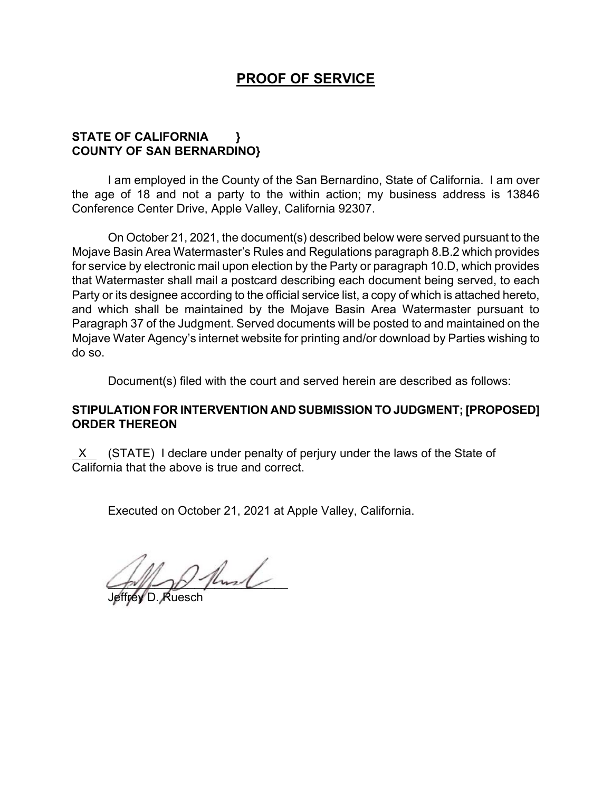# **PROOF OF SERVICE**

## **STATE OF CALIFORNIA } COUNTY OF SAN BERNARDINO}**

I am employed in the County of the San Bernardino, State of California. I am over the age of 18 and not a party to the within action; my business address is 13846 Conference Center Drive, Apple Valley, California 92307.

On October 21, 2021, the document(s) described below were served pursuant to the Mojave Basin Area Watermaster's Rules and Regulations paragraph 8.B.2 which provides for service by electronic mail upon election by the Party or paragraph 10.D, which provides that Watermaster shall mail a postcard describing each document being served, to each Party or its designee according to the official service list, a copy of which is attached hereto, and which shall be maintained by the Mojave Basin Area Watermaster pursuant to Paragraph 37 of the Judgment. Served documents will be posted to and maintained on the Mojave Water Agency's internet website for printing and/or download by Parties wishing to do so.

Document(s) filed with the court and served herein are described as follows:

## **STIPULATION FOR INTERVENTION AND SUBMISSION TO JUDGMENT; [PROPOSED] ORDER THEREON**

 $X$  (STATE) I declare under penalty of perjury under the laws of the State of California that the above is true and correct.

Executed on October 21, 2021 at Apple Valley, California.

 $2$  fluid

Jeffrey D. Ruesch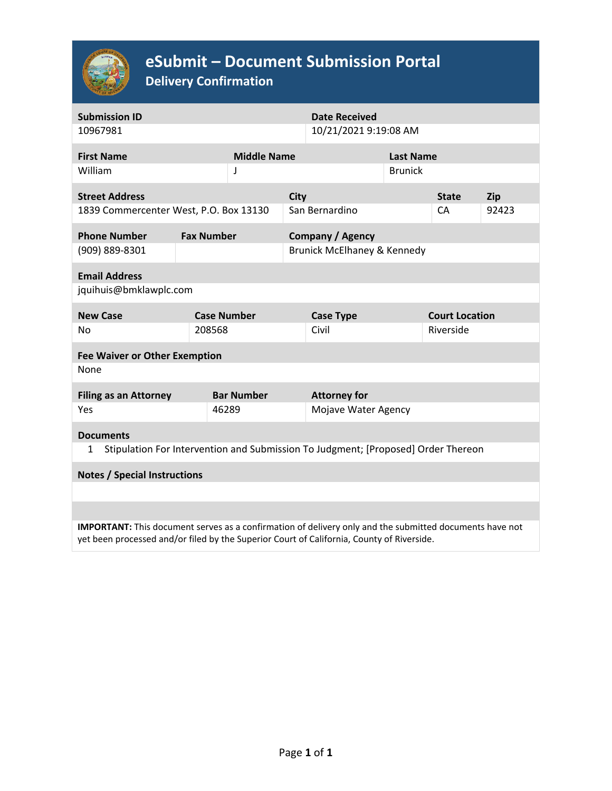

# **eSubmit – Document Submission Portal**

**Delivery Confirmation**

| <b>Submission ID</b>                                                                                                                                                                                 |                   |                         |                             | <b>Date Received</b> |                  |                       |            |  |  |  |  |
|------------------------------------------------------------------------------------------------------------------------------------------------------------------------------------------------------|-------------------|-------------------------|-----------------------------|----------------------|------------------|-----------------------|------------|--|--|--|--|
| 10967981                                                                                                                                                                                             |                   | 10/21/2021 9:19:08 AM   |                             |                      |                  |                       |            |  |  |  |  |
| <b>First Name</b>                                                                                                                                                                                    |                   | <b>Middle Name</b>      |                             |                      | <b>Last Name</b> |                       |            |  |  |  |  |
| William                                                                                                                                                                                              |                   | J                       |                             |                      | <b>Brunick</b>   |                       |            |  |  |  |  |
| <b>Street Address</b>                                                                                                                                                                                |                   | <b>City</b>             |                             |                      |                  | <b>State</b>          | <b>Zip</b> |  |  |  |  |
| 1839 Commercenter West, P.O. Box 13130                                                                                                                                                               |                   | San Bernardino          |                             |                      |                  | CA                    | 92423      |  |  |  |  |
| <b>Phone Number</b>                                                                                                                                                                                  | <b>Fax Number</b> | <b>Company / Agency</b> |                             |                      |                  |                       |            |  |  |  |  |
| (909) 889-8301                                                                                                                                                                                       |                   |                         | Brunick McElhaney & Kennedy |                      |                  |                       |            |  |  |  |  |
| <b>Email Address</b>                                                                                                                                                                                 |                   |                         |                             |                      |                  |                       |            |  |  |  |  |
| jquihuis@bmklawplc.com                                                                                                                                                                               |                   |                         |                             |                      |                  |                       |            |  |  |  |  |
| <b>New Case</b>                                                                                                                                                                                      |                   | <b>Case Number</b>      |                             | <b>Case Type</b>     |                  | <b>Court Location</b> |            |  |  |  |  |
| <b>No</b>                                                                                                                                                                                            | 208568            |                         |                             | Civil                |                  | Riverside             |            |  |  |  |  |
| <b>Fee Waiver or Other Exemption</b>                                                                                                                                                                 |                   |                         |                             |                      |                  |                       |            |  |  |  |  |
| None                                                                                                                                                                                                 |                   |                         |                             |                      |                  |                       |            |  |  |  |  |
| <b>Filing as an Attorney</b>                                                                                                                                                                         |                   | <b>Bar Number</b>       |                             | <b>Attorney for</b>  |                  |                       |            |  |  |  |  |
| Yes                                                                                                                                                                                                  |                   | 46289                   |                             | Mojave Water Agency  |                  |                       |            |  |  |  |  |
| <b>Documents</b>                                                                                                                                                                                     |                   |                         |                             |                      |                  |                       |            |  |  |  |  |
| Stipulation For Intervention and Submission To Judgment; [Proposed] Order Thereon<br>1                                                                                                               |                   |                         |                             |                      |                  |                       |            |  |  |  |  |
| <b>Notes / Special Instructions</b>                                                                                                                                                                  |                   |                         |                             |                      |                  |                       |            |  |  |  |  |
|                                                                                                                                                                                                      |                   |                         |                             |                      |                  |                       |            |  |  |  |  |
|                                                                                                                                                                                                      |                   |                         |                             |                      |                  |                       |            |  |  |  |  |
| IMPORTANT: This document serves as a confirmation of delivery only and the submitted documents have not<br>yet been processed and/or filed by the Superior Court of California, County of Riverside. |                   |                         |                             |                      |                  |                       |            |  |  |  |  |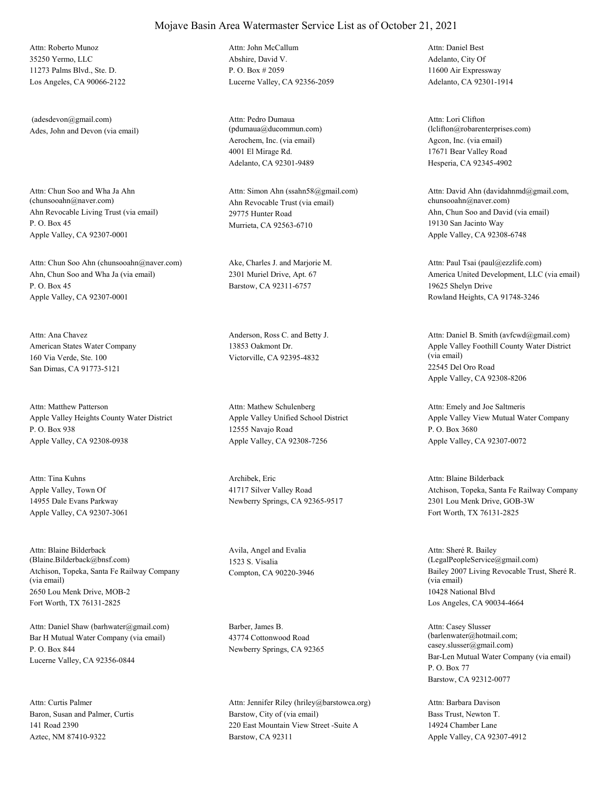35250 Yermo, LLC 11273 Palms Blvd., Ste. D. Los Angeles, CA 90066-2122 Attn: Roberto Munoz

Ades, John and Devon (via email) (adesdevon@gmail.com)

Ahn Revocable Living Trust (via email) P. O. Box 45 Apple Valley, CA 92307-0001 Attn: Chun Soo and Wha Ja Ahn<br>(chunsooahn@naver.com)

Ahn, Chun Soo and Wha Ja (via email) P. O. Box 45 Apple Valley, CA 92307-0001 Attn: Chun Soo Ahn (chunsooahn@naver.com) Ake, Charles J. and Marjorie M.

American States Water Company 160 Via Verde, Ste. 100 San Dimas, CA 91773-5121 Attn: Ana Chavez **Anderson, Ross C.** and Betty J.

Apple Valley Heights County Water District P. O. Box 938 Apple Valley, CA 92308-0938 Attn: Matthew Patterson

Apple Valley, Town Of 14955 Dale Evans Parkway Apple Valley, CA 92307-3061 Attn: Tina Kuhns Archibek, Eric

Atchison, Topeka, Santa Fe Railway Company (via email) 2650 Lou Menk Drive, MOB-2 Fort Worth, TX 76131-2825 Attn: Blaine Bilderback (Blaine.Bilderback@bnsf.com)

Bar H Mutual Water Company (via email) P. O. Box 844 Lucerne Valley, CA 92356-0844 Attn: Daniel Shaw (barhwater@gmail.com) Barber, James B.

Baron, Susan and Palmer, Curtis 141 Road 2390 Aztec, NM 87410-9322 Attn: Curtis Palmer

Abshire, David V. P. O. Box # 2059 Lucerne Valley, CA 92356-2059 Attn: John McCallum

Aerochem, Inc. (via email) 4001 El Mirage Rd. Adelanto, CA 92301-9489 Attn: Pedro Dumaua (pdumaua@ducommun.com)

Ahn Revocable Trust (via email) 29775 Hunter Road Murrieta, CA 92563-6710 Attn: Simon Ahn (ssahn58@gmail.com)

2301 Muriel Drive, Apt. 67 Barstow, CA 92311-6757

13853 Oakmont Dr. Victorville, CA 92395-4832

Apple Valley Unified School District 12555 Navajo Road Apple Valley, CA 92308-7256 Attn: Mathew Schulenberg

41717 Silver Valley Road Newberry Springs, CA 92365-9517

Avila, Angel and Evalia 1523 S. Visalia

43774 Cottonwood Road Newberry Springs, CA 92365

Barstow, City of (via email) 220 East Mountain View Street -Suite A Barstow, CA 92311 Attn: Jennifer Riley (hriley@barstowca.org) Adelanto, City Of 11600 Air Expressway Adelanto, CA 92301-1914 Attn: Daniel Best

Agcon, Inc. (via email) 17671 Bear Valley Road Hesperia, CA 92345-4902 Attn: Lori Clifton (lclifton@robarenterprises.com)

Ahn, Chun Soo and David (via email) 19130 San Jacinto Way Apple Valley, CA 92308-6748 Attn: David Ahn (davidahnmd@gmail.com, chunsooahn@naver.com)

America United Development, LLC (via email) 19625 Shelyn Drive Rowland Heights, CA 91748-3246 Attn: Paul Tsai (paul@ezzlife.com)

Apple Valley Foothill County Water District (via email) 22545 Del Oro Road Apple Valley, CA 92308-8206 Attn: Daniel B. Smith (avfcwd@gmail.com)

Apple Valley View Mutual Water Company P. O. Box 3680 Apple Valley, CA 92307-0072 Attn: Emely and Joe Saltmeris

Atchison, Topeka, Santa Fe Railway Company 2301 Lou Menk Drive, GOB-3W Fort Worth, TX 76131-2825 Attn: Blaine Bilderback

Compton, CA 90220-3946 Bailey 2007 Living Revocable Trust, Sheré R. (via email) 10428 National Blvd Los Angeles, CA 90034-4664 Attn: Sheré R. Bailey (LegalPeopleService@gmail.com)

> Bar-Len Mutual Water Company (via email) P. O. Box 77 Barstow, CA 92312-0077 Attn: Casey Slusser (barlenwater@hotmail.com; casey.slusser@gmail.com)

Bass Trust, Newton T. 14924 Chamber Lane Apple Valley, CA 92307-4912 Attn: Barbara Davison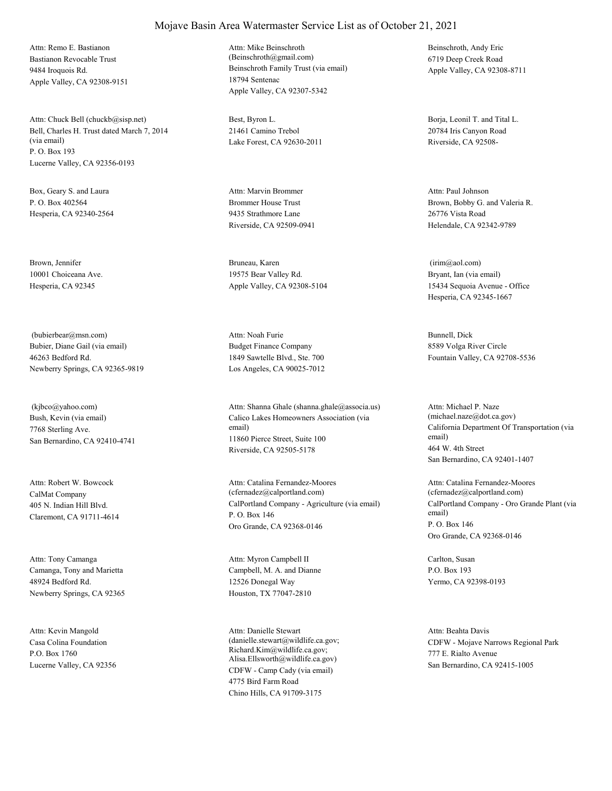Bastianon Revocable Trust 9484 Iroquois Rd. Apple Valley, CA 92308-9151 Attn: Remo E. Bastianon

Bell, Charles H. Trust dated March 7, 2014 (via email) P. O. Box 193 Lucerne Valley, CA 92356-0193 Attn: Chuck Bell (chuckb@sisp.net) Best, Byron L.

Box, Geary S. and Laura P. O. Box 402564 Hesperia, CA 92340-2564

Brown, Jennifer 10001 Choiceana Ave. Hesperia, CA 92345

Bubier, Diane Gail (via email) 46263 Bedford Rd. Newberry Springs, CA 92365-9819 (bubierbear@msn.com)

Bush, Kevin (via email) 7768 Sterling Ave. San Bernardino, CA 92410-4741 (kjbco@yahoo.com)

CalMat Company 405 N. Indian Hill Blvd. Claremont, CA 91711-4614 Attn: Robert W. Bowcock

Camanga, Tony and Marietta 48924 Bedford Rd. Newberry Springs, CA 92365 Attn: Tony Camanga

Casa Colina Foundation P.O. Box 1760 Lucerne Valley, CA 92356 Attn: Kevin Mangold

Beinschroth Family Trust (via email) 18794 Sentenac Apple Valley, CA 92307-5342 Attn: Mike Beinschroth (Beinschroth@gmail.com)

21461 Camino Trebol Lake Forest, CA 92630-2011

Brommer House Trust 9435 Strathmore Lane Riverside, CA 92509-0941 Attn: Marvin Brommer

Bruneau, Karen 19575 Bear Valley Rd. Apple Valley, CA 92308-5104

Budget Finance Company 1849 Sawtelle Blvd., Ste. 700 Los Angeles, CA 90025-7012 Attn: Noah Furie Bunnell, Dick

Calico Lakes Homeowners Association (via email) 11860 Pierce Street, Suite 100 Riverside, CA 92505-5178 Attn: Shanna Ghale (shanna.ghale@associa.us)

CalPortland Company - Agriculture (via email) P. O. Box 146 Oro Grande, CA 92368-0146 Attn: Catalina Fernandez-Moores (cfernadez@calportland.com)

Campbell, M. A. and Dianne 12526 Donegal Way Houston, TX 77047-2810 Attn: Myron Campbell II Carlton, Susan

CDFW - Camp Cady (via email) 4775 Bird Farm Road Chino Hills, CA 91709-3175 Attn: Danielle Stewart (danielle.stewart@wildlife.ca.gov; Richard.Kim@wildlife.ca.gov; Alisa.Ellsworth@wildlife.ca.gov)

Beinschroth, Andy Eric 6719 Deep Creek Road Apple Valley, CA 92308-8711

Borja, Leonil T. and Tital L. 20784 Iris Canyon Road Riverside, CA 92508-

Brown, Bobby G. and Valeria R. 26776 Vista Road Helendale, CA 92342-9789 Attn: Paul Johnson

Bryant, Ian (via email) 15434 Sequoia Avenue - Office Hesperia, CA 92345-1667 (irim@aol.com)

8589 Volga River Circle Fountain Valley, CA 92708-5536

California Department Of Transportation (via email) 464 W. 4th Street San Bernardino, CA 92401-1407 Attn: Michael P. Naze (michael.naze@dot.ca.gov)

CalPortland Company - Oro Grande Plant (via email) P. O. Box 146 Oro Grande, CA 92368-0146 Attn: Catalina Fernandez-Moores (cfernadez@calportland.com)

P.O. Box 193 Yermo, CA 92398-0193

CDFW - Mojave Narrows Regional Park 777 E. Rialto Avenue San Bernardino, CA 92415-1005 Attn: Beahta Davis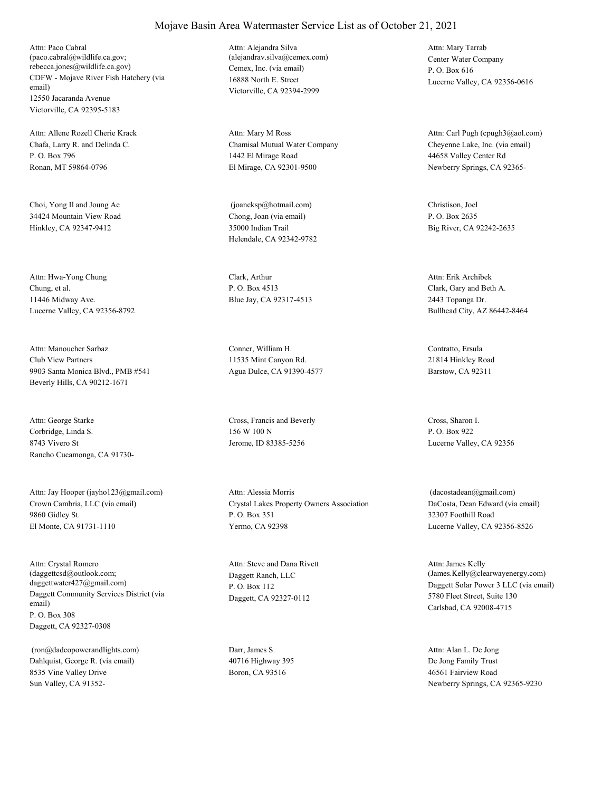CDFW - Mojave River Fish Hatchery (via email) 12550 Jacaranda Avenue Victorville, CA 92395-5183 Attn: Paco Cabral (paco.cabral@wildlife.ca.gov; rebecca.jones@wildlife.ca.gov) Cemex, Inc. (via email)

Chafa, Larry R. and Delinda C. P. O. Box 796 Ronan, MT 59864-0796 Attn: Allene Rozell Cherie Krack

Choi, Yong Il and Joung Ae 34424 Mountain View Road Hinkley, CA 92347-9412

Chung, et al. 11446 Midway Ave. Lucerne Valley, CA 92356-8792 Attn: Hwa-Yong Chung Clark, Arthur

Club View Partners 9903 Santa Monica Blvd., PMB #541 Beverly Hills, CA 90212-1671 Attn: Manoucher Sarbaz Conner, William H.

Corbridge, Linda S. 8743 Vivero St Rancho Cucamonga, CA 91730- Attn: George Starke Cross, Francis and Beverly

Crown Cambria, LLC (via email) 9860 Gidley St. El Monte, CA 91731-1110 Attn: Jay Hooper (jayho123@gmail.com)

Daggett Community Services District (via email) P. O. Box 308 Daggett, CA 92327-0308 Attn: Crystal Romero (daggettcsd@outlook.com; daggettwater427@gmail.com)

Dahlquist, George R. (via email) 8535 Vine Valley Drive Sun Valley, CA 91352- (ron@dadcopowerandlights.com) Darr, James S.

16888 North E. Street Victorville, CA 92394-2999 Attn: Alejandra Silva (alejandrav.silva@cemex.com) Center Water Company

Chamisal Mutual Water Company 1442 El Mirage Road El Mirage, CA 92301-9500 Attn: Mary M Ross

Chong, Joan (via email) 35000 Indian Trail Helendale, CA 92342-9782 (joancksp@hotmail.com) Christison, Joel

P. O. Box 4513 Blue Jay, CA 92317-4513

11535 Mint Canyon Rd. Agua Dulce, CA 91390-4577

156 W 100 N Jerome, ID 83385-5256

Crystal Lakes Property Owners Association P. O. Box 351 Yermo, CA 92398 Attn: Alessia Morris

Daggett Ranch, LLC P. O. Box 112 Daggett, CA 92327-0112 Attn: Steve and Dana Rivett

40716 Highway 395 Boron, CA 93516

P. O. Box 616 Lucerne Valley, CA 92356-0616 Attn: Mary Tarrab

Cheyenne Lake, Inc. (via email) 44658 Valley Center Rd Newberry Springs, CA 92365- Attn: Carl Pugh (cpugh3@aol.com)

P. O. Box 2635 Big River, CA 92242-2635

Clark, Gary and Beth A. 2443 Topanga Dr. Bullhead City, AZ 86442-8464 Attn: Erik Archibek

Contratto, Ersula 21814 Hinkley Road Barstow, CA 92311

Cross, Sharon I. P. O. Box 922 Lucerne Valley, CA 92356

DaCosta, Dean Edward (via email) 32307 Foothill Road Lucerne Valley, CA 92356-8526 (dacostadean@gmail.com)

Daggett Solar Power 3 LLC (via email) 5780 Fleet Street, Suite 130 Carlsbad, CA 92008-4715 Attn: James Kelly (James.Kelly@clearwayenergy.com)

De Jong Family Trust 46561 Fairview Road Newberry Springs, CA 92365-9230 Attn: Alan L. De Jong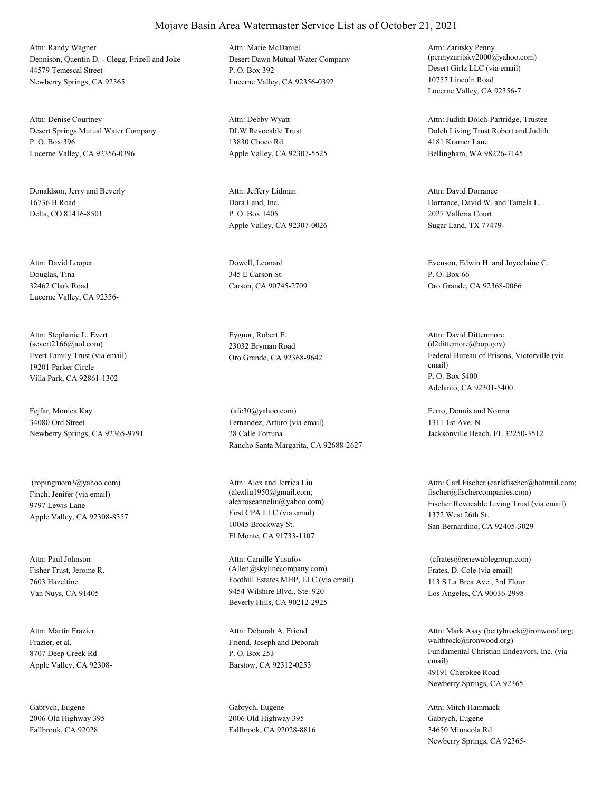Dennison, Quentin D. - Clegg, Frizell and Joke 44579 Temescal Street Newberry Springs, CA 92365 Attn: Randy Wagner

Desert Springs Mutual Water Company P. O. Box 396 Lucerne Valley, CA 92356-0396 Attn: Denise Courtney

Donaldson, Jerry and Beverly 16736 B Road Delta, CO 81416-8501

Douglas, Tina 32462 Clark Road Lucerne Valley, CA 92356- Attn: David Looper Dowell, Leonard

Evert Family Trust (via email) 19201 Parker Circle Villa Park, CA 92861-1302 Attn: Stephanie L. Evert (severt2166@aol.com)

Fejfar, Monica Kay 34080 Ord Street Newberry Springs, CA 92365-9791

Finch, Jenifer (via email) 9797 Lewis Lane Apple Valley, CA 92308-8357 (ropingmom3@yahoo.com)

Fisher Trust, Jerome R. 7603 Hazeltine Van Nuys, CA 91405 Attn: Paul Johnson

Frazier, et al. 8707 Deep Creek Rd Apple Valley, CA 92308- Attn: Martin Frazier

Gabrych, Eugene 2006 Old Highway 395 Fallbrook, CA 92028

Desert Dawn Mutual Water Company P. O. Box 392 Lucerne Valley, CA 92356-0392 Attn: Marie McDaniel

DLW Revocable Trust 13830 Choco Rd. Apple Valley, CA 92307-5525 Attn: Debby Wyatt

Dora Land, Inc. P. O. Box 1405 Apple Valley, CA 92307-0026 Attn: Jeffery Lidman

345 E Carson St. Carson, CA 90745-2709

Eygnor, Robert E. 23032 Bryman Road

Fernandez, Arturo (via email) 28 Calle Fortuna Rancho Santa Margarita, CA 92688-2627 (afc30@yahoo.com) Ferro, Dennis and Norma

First CPA LLC (via email) 10045 Brockway St. El Monte, CA 91733-1107 Attn: Alex and Jerrica Liu (alexliu1950@gmail.com;

Foothill Estates MHP, LLC (via email) 9454 Wilshire Blvd., Ste. 920 Beverly Hills, CA 90212-2925 Attn: Camille Yusufov (Allen@skylinecompany.com) Frates, D. Cole (via email)

Friend, Joseph and Deborah P. O. Box 253 Barstow, CA 92312-0253 Attn: Deborah A. Friend

Gabrych, Eugene 2006 Old Highway 395 Fallbrook, CA 92028-8816 Desert Girlz LLC (via email) 10757 Lincoln Road Lucerne Valley, CA 92356-7 Attn: Zaritsky Penny (pennyzaritsky2000@yahoo.com)

Dolch Living Trust Robert and Judith 4181 Kramer Lane Bellingham, WA 98226-7145 Attn: Judith Dolch-Partridge, Trustee

Dorrance, David W. and Tamela L. 2027 Valleria Court Sugar Land, TX 77479- Attn: David Dorrance

Evenson, Edwin H. and Joycelaine C. P. O. Box 66 Oro Grande, CA 92368-0066

Oro Grande, CA 92368-9642 Federal Bureau of Prisons, Victorville (via email) P. O. Box 5400 Adelanto, CA 92301-5400 Attn: David Dittenmore (d2dittemore@bop.gov)

> 1311 1st Ave. N Jacksonville Beach, FL 32250-3512

alexroseanneliu@yahoo.com) Fischer Revocable Living Trust (via email) 1372 West 26th St. San Bernardino, CA 92405-3029 Attn: Carl Fischer (carlsfischer@hotmail.com; fischer@fischercompanies.com)

> 113 S La Brea Ave., 3rd Floor Los Angeles, CA 90036-2998 (cfrates@renewablegroup.com)

Fundamental Christian Endeavors, Inc. (via email) 49191 Cherokee Road Newberry Springs, CA 92365 Attn: Mark Asay (bettybrock@ironwood.org; waltbrock@ironwood.org)

Gabrych, Eugene 34650 Minneola Rd Newberry Springs, CA 92365- Attn: Mitch Hammack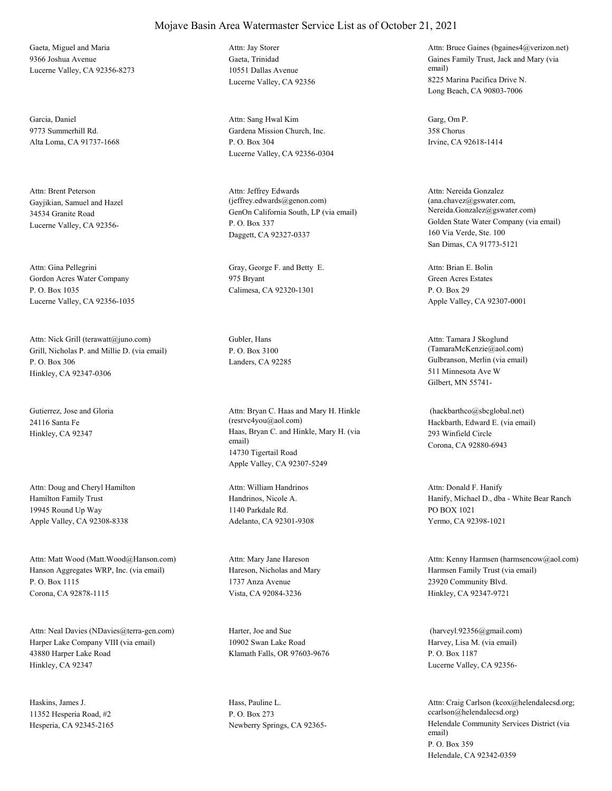Gaeta, Miguel and Maria 9366 Joshua Avenue Lucerne Valley, CA 92356-8273

Garcia, Daniel 9773 Summerhill Rd. Alta Loma, CA 91737-1668

Gayjikian, Samuel and Hazel 34534 Granite Road Lucerne Valley, CA 92356- Attn: Brent Peterson

Gordon Acres Water Company P. O. Box 1035 Lucerne Valley, CA 92356-1035 Attn: Gina Pellegrini Gray, George F. and Betty E.

Grill, Nicholas P. and Millie D. (via email) P. O. Box 306 Hinkley, CA 92347-0306 Attn: Nick Grill (terawatt@juno.com) Gubler, Hans

Gutierrez, Jose and Gloria 24116 Santa Fe

Hamilton Family Trust 19945 Round Up Way Apple Valley, CA 92308-8338 Attn: Doug and Cheryl Hamilton

Hanson Aggregates WRP, Inc. (via email) P. O. Box 1115 Corona, CA 92878-1115 Attn: Matt Wood (Matt.Wood@Hanson.com)

Harper Lake Company VIII (via email) 43880 Harper Lake Road Hinkley, CA 92347 Attn: Neal Davies (NDavies@terra-gen.com) Harter, Joe and Sue

Haskins, James J. 11352 Hesperia Road, #2 Hesperia, CA 92345-2165 Gaeta, Trinidad 10551 Dallas Avenue Lucerne Valley, CA 92356 Attn: Jay Storer

Gardena Mission Church, Inc. P. O. Box 304 Lucerne Valley, CA 92356-0304 Attn: Sang Hwal Kim Garg, Om P.

GenOn California South, LP (via email) P. O. Box 337 Daggett, CA 92327-0337 Attn: Jeffrey Edwards (jeffrey.edwards@genon.com)

975 Bryant Calimesa, CA 92320-1301

P. O. Box 3100

Hinkley, CA 92347 Haas, Bryan C. and Hinkle, Mary H. (via email) 14730 Tigertail Road Apple Valley, CA 92307-5249 Attn: Bryan C. Haas and Mary H. Hinkle (resrvc4you@aol.com) Hackbarth, Edward E. (via email)

> Handrinos, Nicole A. 1140 Parkdale Rd. Adelanto, CA 92301-9308 Attn: William Handrinos

Hareson, Nicholas and Mary 1737 Anza Avenue Vista, CA 92084-3236 Attn: Mary Jane Hareson

10902 Swan Lake Road Klamath Falls, OR 97603-9676

Hass, Pauline L. P. O. Box 273

Gaines Family Trust, Jack and Mary (via email) 8225 Marina Pacifica Drive N. Long Beach, CA 90803-7006 Attn: Bruce Gaines (bgaines4@verizon.net)

358 Chorus Irvine, CA 92618-1414

Golden State Water Company (via email) 160 Via Verde, Ste. 100 San Dimas, CA 91773-5121 Attn: Nereida Gonzalez (ana.chavez@gswater.com, Nereida.Gonzalez@gswater.com)

Green Acres Estates P. O. Box 29 Apple Valley, CA 92307-0001 Attn: Brian E. Bolin

Landers, CA 92285 Gulbranson, Merlin (via email) 511 Minnesota Ave W Gilbert, MN 55741- Attn: Tamara J Skoglund (TamaraMcKenzie@aol.com)

> 293 Winfield Circle Corona, CA 92880-6943 (hackbarthco@sbcglobal.net)

Hanify, Michael D., dba - White Bear Ranch PO BOX 1021 Yermo, CA 92398-1021 Attn: Donald F. Hanify

Harmsen Family Trust (via email) 23920 Community Blvd. Hinkley, CA 92347-9721 Attn: Kenny Harmsen (harmsencow@aol.com)

Harvey, Lisa M. (via email) P. O. Box 1187 Lucerne Valley, CA 92356- (harveyl.92356@gmail.com)

Newberry Springs, CA 92365- Helendale Community Services District (via email) P. O. Box 359 Helendale, CA 92342-0359 Attn: Craig Carlson (kcox@helendalecsd.org; ccarlson@helendalecsd.org)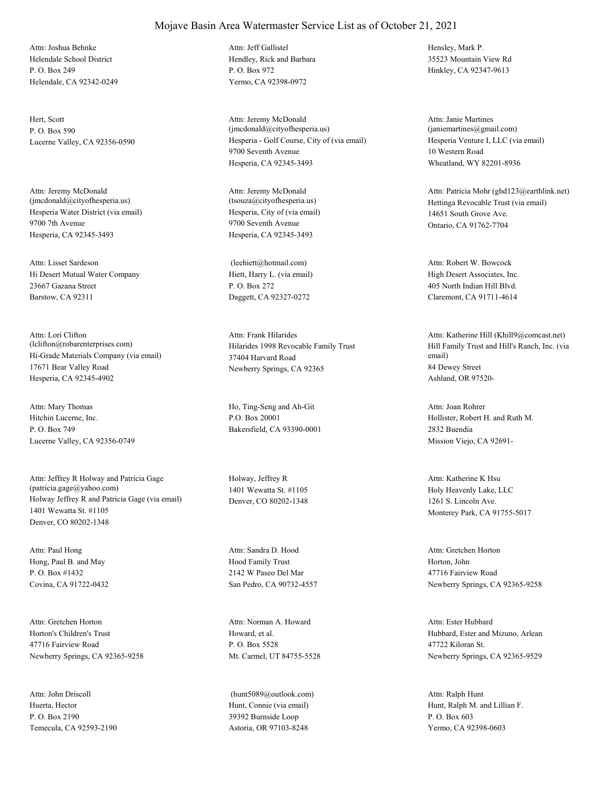Helendale School District P. O. Box 249 Helendale, CA 92342-0249 Attn: Joshua Behnke

Hert, Scott P. O. Box 590

Hesperia Water District (via email) 9700 7th Avenue Hesperia, CA 92345-3493 Attn: Jeremy McDonald (jmcdonald@cityofhesperia.us)

Hi Desert Mutual Water Company 23667 Gazana Street Barstow, CA 92311 Attn: Lisset Sardeson

Hi-Grade Materials Company (via email) 17671 Bear Valley Road Hesperia, CA 92345-4902 Attn: Lori Clifton (lclifton@robarenterprises.com) Hilarides 1998 Revocable Family Trust

Hitchin Lucerne, Inc. P. O. Box 749 Lucerne Valley, CA 92356-0749 Attn: Mary Thomas Ho, Ting-Seng and Ah-Git

Holway Jeffrey R and Patricia Gage (via email) 1401 Wewatta St. #1105 Denver, CO 80202-1348 Attn: Jeffrey R Holway and Patricia Gage (patricia.gage@yahoo.com)

Hong, Paul B. and May P. O. Box #1432 Covina, CA 91722-0432 Attn: Paul Hong

Horton's Children's Trust 47716 Fairview Road Newberry Springs, CA 92365-9258 Attn: Gretchen Horton

Huerta, Hector P. O. Box 2190 Temecula, CA 92593-2190 Attn: John Driscoll

#### Mojave Basin Area Watermaster Service List as of October 21, 2021

Hendley, Rick and Barbara P. O. Box 972 Yermo, CA 92398-0972 Attn: Jeff Gallistel Hensley, Mark P.

Lucerne Valley, CA 92356-0590 Hesperia - Golf Course, City of (via email) 9700 Seventh Avenue Hesperia, CA 92345-3493 Attn: Jeremy McDonald (jmcdonald@cityofhesperia.us)

> Hesperia, City of (via email) 9700 Seventh Avenue Hesperia, CA 92345-3493 Attn: Jeremy McDonald<br>(tsouza@cityofhesperia.us)

Hiett, Harry L. (via email) P. O. Box 272 Daggett, CA 92327-0272 (leehiett@hotmail.com)

37404 Harvard Road Newberry Springs, CA 92365 Attn: Frank Hilarides

P.O. Box 20001 Bakersfield, CA 93390-0001

Holway, Jeffrey R 1401 Wewatta St. #1105 Denver, CO 80202-1348

Hood Family Trust 2142 W Paseo Del Mar San Pedro, CA 90732-4557 Attn: Sandra D. Hood

Howard, et al. P. O. Box 5528 Mt. Carmel, UT 84755-5528 Attn: Norman A. Howard

Hunt, Connie (via email) 39392 Burnside Loop Astoria, OR 97103-8248 (hunt5089@outlook.com) 35523 Mountain View Rd Hinkley, CA 92347-9613

Hesperia Venture I, LLC (via email) 10 Western Road Wheatland, WY 82201-8936 Attn: Janie Martines (janiemartines@gmail.com)

Hettinga Revocable Trust (via email) 14651 South Grove Ave. Ontario, CA 91762-7704 Attn: Patricia Mohr (ghd123@earthlink.net)

High Desert Associates, Inc. 405 North Indian Hill Blvd. Claremont, CA 91711-4614 Attn: Robert W. Bowcock

Hill Family Trust and Hill's Ranch, Inc. (via email) 84 Dewey Street Ashland, OR 97520- Attn: Katherine Hill (Khill9@comcast.net)

Hollister, Robert H. and Ruth M. 2832 Buendia Mission Viejo, CA 92691- Attn: Joan Rohrer

Holy Heavenly Lake, LLC 1261 S. Lincoln Ave. Monterey Park, CA 91755-5017 Attn: Katherine K Hsu

Horton, John 47716 Fairview Road Newberry Springs, CA 92365-9258 Attn: Gretchen Horton

Hubbard, Ester and Mizuno, Arlean 47722 Kiloran St. Newberry Springs, CA 92365-9529 Attn: Ester Hubbard

Hunt, Ralph M. and Lillian F. P. O. Box 603 Yermo, CA 92398-0603 Attn: Ralph Hunt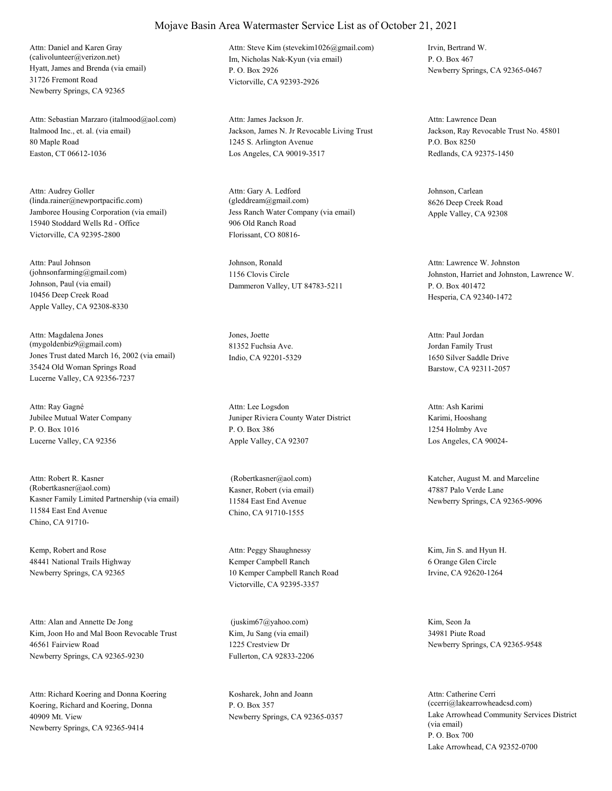Hyatt, James and Brenda (via email) 31726 Fremont Road Newberry Springs, CA 92365 Attn: Daniel and Karen Gray (calivolunteer@verizon.net) Im, Nicholas Nak-Kyun (via email)

Italmood Inc., et. al. (via email) 80 Maple Road Easton, CT 06612-1036 Attn: Sebastian Marzaro (italmood@aol.com)

Jamboree Housing Corporation (via email) 15940 Stoddard Wells Rd - Office Victorville, CA 92395-2800 Attn: Audrey Goller (linda.rainer@newportpacific.com)

Johnson, Paul (via email) 10456 Deep Creek Road Apple Valley, CA 92308-8330 Attn: Paul Johnson (johnsonfarming@gmail.com)

Jones Trust dated March 16, 2002 (via email) 35424 Old Woman Springs Road Lucerne Valley, CA 92356-7237 Attn: Magdalena Jones (mygoldenbiz9@gmail.com)

Jubilee Mutual Water Company P. O. Box 1016 Lucerne Valley, CA 92356 Attn: Ray Gagné

Kasner Family Limited Partnership (via email) 11584 East End Avenue Chino, CA 91710- Attn: Robert R. Kasner (Robertkasner@aol.com) Kasner, Robert (via email)

Kemp, Robert and Rose 48441 National Trails Highway Newberry Springs, CA 92365

Kim, Joon Ho and Mal Boon Revocable Trust 46561 Fairview Road Newberry Springs, CA 92365-9230 Attn: Alan and Annette De Jong

Koering, Richard and Koering, Donna 40909 Mt. View Newberry Springs, CA 92365-9414 Attn: Richard Koering and Donna Koering Kosharek, John and Joann

P. O. Box 2926 Victorville, CA 92393-2926 Attn: Steve Kim (stevekim1026@gmail.com) Irvin, Bertrand W.

Jackson, James N. Jr Revocable Living Trust 1245 S. Arlington Avenue Los Angeles, CA 90019-3517 Attn: James Jackson Jr.

Jess Ranch Water Company (via email) 906 Old Ranch Road Florissant, CO 80816- Attn: Gary A. Ledford (gleddream@gmail.com)

Johnson, Ronald 1156 Clovis Circle Dammeron Valley, UT 84783-5211

Jones, Joette 81352 Fuchsia Ave. Indio, CA 92201-5329

Juniper Riviera County Water District P. O. Box 386 Apple Valley, CA 92307 Attn: Lee Logsdon

11584 East End Avenue Chino, CA 91710-1555

Kemper Campbell Ranch 10 Kemper Campbell Ranch Road Victorville, CA 92395-3357 Attn: Peggy Shaughnessy Kim, Jin S. and Hyun H.

Kim, Ju Sang (via email) 1225 Crestview Dr Fullerton, CA 92833-2206 (juskim67@yahoo.com) Kim, Seon Ja

P. O. Box 357

P. O. Box 467 Newberry Springs, CA 92365-0467

Jackson, Ray Revocable Trust No. 45801 P.O. Box 8250 Redlands, CA 92375-1450 Attn: Lawrence Dean

Johnson, Carlean 8626 Deep Creek Road Apple Valley, CA 92308

Johnston, Harriet and Johnston, Lawrence W. P. O. Box 401472 Hesperia, CA 92340-1472 Attn: Lawrence W. Johnston

Jordan Family Trust 1650 Silver Saddle Drive Barstow, CA 92311-2057 Attn: Paul Jordan

Karimi, Hooshang 1254 Holmby Ave Los Angeles, CA 90024- Attn: Ash Karimi

 (Robertkasner@aol.com) Katcher, August M. and Marceline 47887 Palo Verde Lane Newberry Springs, CA 92365-9096

> 6 Orange Glen Circle Irvine, CA 92620-1264

34981 Piute Road Newberry Springs, CA 92365-9548

Newberry Springs, CA 92365-0357 Lake Arrowhead Community Services District (via email) P. O. Box 700 Lake Arrowhead, CA 92352-0700 Attn: Catherine Cerri (ccerri@lakearrowheadcsd.com)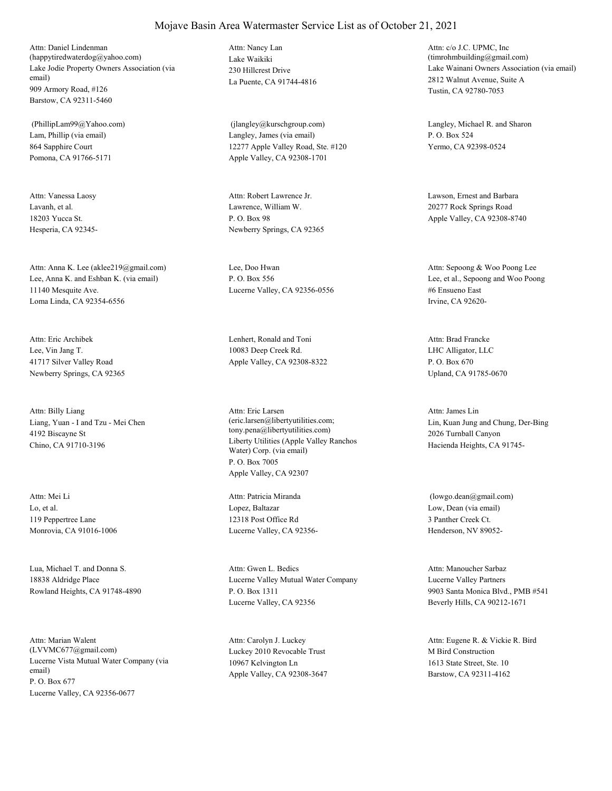Lake Jodie Property Owners Association (via email) 909 Armory Road, #126 Barstow, CA 92311-5460 Attn: Daniel Lindenman (happytiredwaterdog@yahoo.com) Lake Waikiki

Lam, Phillip (via email) 864 Sapphire Court Pomona, CA 91766-5171 (PhillipLam99@Yahoo.com)

Lavanh, et al. 18203 Yucca St. Hesperia, CA 92345- Attn: Vanessa Laosy

Lee, Anna K. and Eshban K. (via email) 11140 Mesquite Ave. Loma Linda, CA 92354-6556 Attn: Anna K. Lee (aklee219@gmail.com) Lee, Doo Hwan

Lee, Vin Jang T. 41717 Silver Valley Road Newberry Springs, CA 92365 Attn: Eric Archibek Lenhert, Ronald and Toni

Liang, Yuan - I and Tzu - Mei Chen 4192 Biscayne St Chino, CA 91710-3196 Attn: Billy Liang

Lo, et al. 119 Peppertree Lane Monrovia, CA 91016-1006 Attn: Mei Li

Lua, Michael T. and Donna S. 18838 Aldridge Place Rowland Heights, CA 91748-4890

Lucerne Vista Mutual Water Company (via email) P. O. Box 677 Lucerne Valley, CA 92356-0677 Attn: Marian Walent (LVVMC677@gmail.com) Luckey 2010 Revocable Trust

230 Hillcrest Drive La Puente, CA 91744-4816 Attn: Nancy Lan

Langley, James (via email) 12277 Apple Valley Road, Ste. #120 Apple Valley, CA 92308-1701

Lawrence, William W. P. O. Box 98 Newberry Springs, CA 92365 Attn: Robert Lawrence Jr. Lawson, Ernest and Barbara

P. O. Box 556 Lucerne Valley, CA 92356-0556

10083 Deep Creek Rd. Apple Valley, CA 92308-8322

Liberty Utilities (Apple Valley Ranchos Water) Corp. (via email) P. O. Box 7005 Apple Valley, CA 92307 Attn: Eric Larsen (eric.larsen@libertyutilities.com; tony.pena@libertyutilities.com)

Lopez, Baltazar 12318 Post Office Rd Lucerne Valley, CA 92356- Attn: Patricia Miranda

Lucerne Valley Mutual Water Company P. O. Box 1311 Lucerne Valley, CA 92356 Attn: Gwen L. Bedics

10967 Kelvington Ln Apple Valley, CA 92308-3647 Attn: Carolyn J. Luckey

Lake Wainani Owners Association (via email) 2812 Walnut Avenue, Suite A Tustin, CA 92780-7053 Attn: c/o J.C. UPMC, Inc (timrohmbuilding@gmail.com)

 (jlangley@kurschgroup.com) Langley, Michael R. and Sharon P. O. Box 524 Yermo, CA 92398-0524

> 20277 Rock Springs Road Apple Valley, CA 92308-8740

Lee, et al., Sepoong and Woo Poong #6 Ensueno East Irvine, CA 92620- Attn: Sepoong & Woo Poong Lee

LHC Alligator, LLC P. O. Box 670 Upland, CA 91785-0670 Attn: Brad Francke

Lin, Kuan Jung and Chung, Der-Bing 2026 Turnball Canyon Hacienda Heights, CA 91745- Attn: James Lin

Low, Dean (via email) 3 Panther Creek Ct. Henderson, NV 89052- (lowgo.dean@gmail.com)

Lucerne Valley Partners 9903 Santa Monica Blvd., PMB #541 Beverly Hills, CA 90212-1671 Attn: Manoucher Sarbaz

M Bird Construction 1613 State Street, Ste. 10 Barstow, CA 92311-4162 Attn: Eugene R. & Vickie R. Bird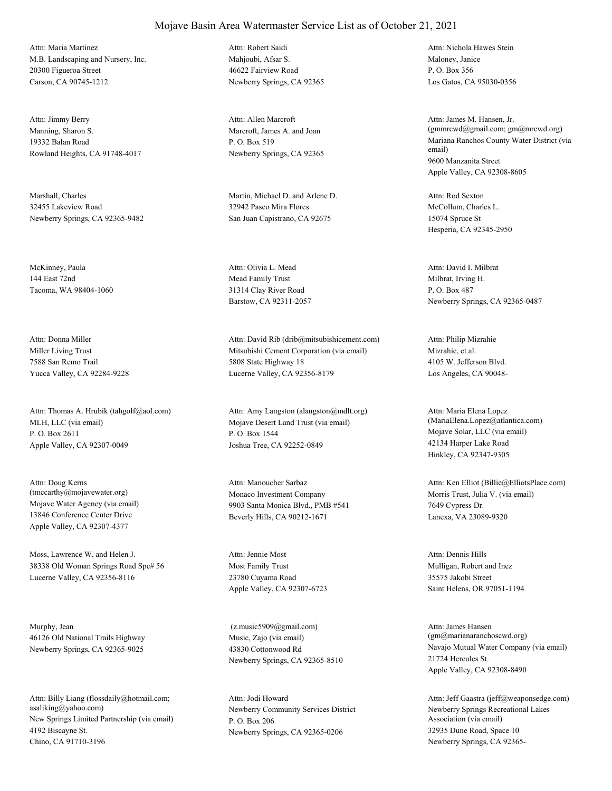M.B. Landscaping and Nursery, Inc. 20300 Figueroa Street Carson, CA 90745-1212 Attn: Maria Martinez

Manning, Sharon S. 19332 Balan Road Rowland Heights, CA 91748-4017 Attn: Jimmy Berry

Marshall, Charles 32455 Lakeview Road Newberry Springs, CA 92365-9482

McKinney, Paula 144 East 72nd Tacoma, WA 98404-1060

Miller Living Trust 7588 San Remo Trail Yucca Valley, CA 92284-9228 Attn: Donna Miller

MLH, LLC (via email) P. O. Box 2611 Apple Valley, CA 92307-0049 Attn: Thomas A. Hrubik (tahgolf@aol.com)

Mojave Water Agency (via email) 13846 Conference Center Drive Apple Valley, CA 92307-4377 Attn: Doug Kerns (tmccarthy@mojavewater.org) Monaco Investment Company

Moss, Lawrence W. and Helen J. 38338 Old Woman Springs Road Spc# 56 Lucerne Valley, CA 92356-8116

Murphy, Jean 46126 Old National Trails Highway Newberry Springs, CA 92365-9025

New Springs Limited Partnership (via email) 4192 Biscayne St. Chino, CA 91710-3196 Attn: Billy Liang (flossdaily@hotmail.com; asaliking@yahoo.com) Newberry Community Services District

Mahioubi, Afsar S. 46622 Fairview Road Newberry Springs, CA 92365 Attn: Robert Saidi

Marcroft, James A. and Joan P. O. Box 519 Newberry Springs, CA 92365 Attn: Allen Marcroft

Martin, Michael D. and Arlene D. 32942 Paseo Mira Flores San Juan Capistrano, CA 92675

Mead Family Trust 31314 Clay River Road Barstow, CA 92311-2057 Attn: Olivia L. Mead

Mitsubishi Cement Corporation (via email) 5808 State Highway 18 Lucerne Valley, CA 92356-8179 Attn: David Rib (drib@mitsubishicement.com)

Mojave Desert Land Trust (via email) P. O. Box 1544 Joshua Tree, CA 92252-0849 Attn: Amy Langston (alangston@mdlt.org)

9903 Santa Monica Blvd., PMB #541 Beverly Hills, CA 90212-1671 Attn: Manoucher Sarbaz

Most Family Trust 23780 Cuyama Road Apple Valley, CA 92307-6723 Attn: Jennie Most

Music, Zajo (via email) 43830 Cottonwood Rd Newberry Springs, CA 92365-8510 (z.music5909@gmail.com)

P. O. Box 206 Newberry Springs, CA 92365-0206 Attn: Jodi Howard

Maloney, Janice P. O. Box 356 Los Gatos, CA 95030-0356 Attn: Nichola Hawes Stein

Mariana Ranchos County Water District (via email) 9600 Manzanita Street Apple Valley, CA 92308-8605 Attn: James M. Hansen, Jr. (gmmrcwd@gmail.com; gm@mrcwd.org)

McCollum, Charles L. 15074 Spruce St Hesperia, CA 92345-2950 Attn: Rod Sexton

Milbrat, Irving H. P. O. Box 487 Newberry Springs, CA 92365-0487 Attn: David I. Milbrat

Mizrahie, et al. 4105 W. Jefferson Blvd. Los Angeles, CA 90048- Attn: Philip Mizrahie

Mojave Solar, LLC (via email) 42134 Harper Lake Road Hinkley, CA 92347-9305 Attn: Maria Elena Lopez (MariaElena.Lopez@atlantica.com)

Morris Trust, Julia V. (via email) 7649 Cypress Dr. Lanexa, VA 23089-9320 Attn: Ken Elliot (Billie@ElliotsPlace.com)

Mulligan, Robert and Inez 35575 Jakobi Street Saint Helens, OR 97051-1194 Attn: Dennis Hills

Navajo Mutual Water Company (via email) 21724 Hercules St. Apple Valley, CA 92308-8490 Attn: James Hansen (gm@marianaranchoscwd.org)

Newberry Springs Recreational Lakes Association (via email) 32935 Dune Road, Space 10 Newberry Springs, CA 92365- Attn: Jeff Gaastra (jeff@weaponsedge.com)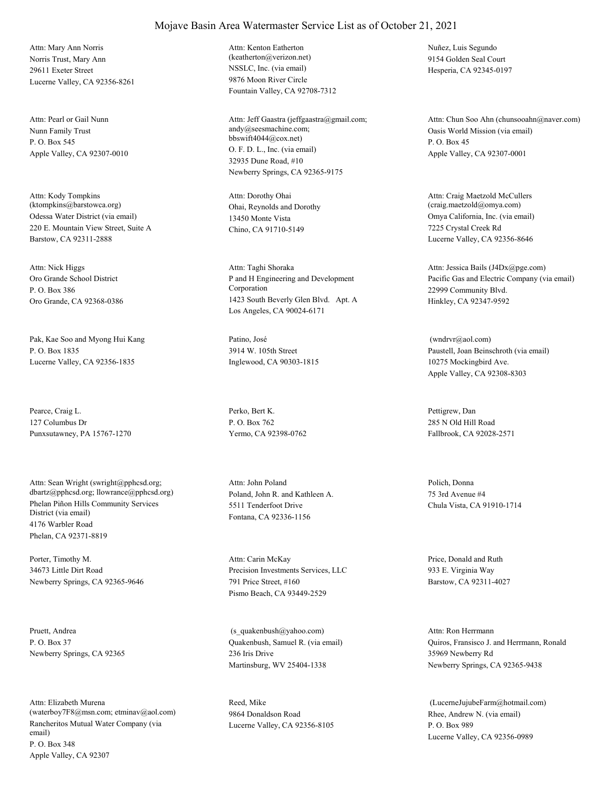Norris Trust, Mary Ann 29611 Exeter Street Lucerne Valley, CA 92356-8261 Attn: Mary Ann Norris

Nunn Family Trust P. O. Box 545 Apple Valley, CA 92307-0010 Attn: Pearl or Gail Nunn

Odessa Water District (via email) 220 E. Mountain View Street, Suite A Barstow, CA 92311-2888 Attn: Kody Tompkins (ktompkins@barstowca.org) Ohai, Reynolds and Dorothy

Oro Grande School District P. O. Box 386 Oro Grande, CA 92368-0386 Attn: Nick Higgs

Pak, Kae Soo and Myong Hui Kang P. O. Box 1835 Lucerne Valley, CA 92356-1835

Pearce, Craig L. 127 Columbus Dr Punxsutawney, PA 15767-1270

Phelan Piñon Hills Community Services District (via email) 4176 Warbler Road Phelan, CA 92371-8819 Attn: Sean Wright (swright@pphcsd.org; dbartz@pphcsd.org; llowrance@pphcsd.org) Poland, John R. and Kathleen A.

Porter, Timothy M. 34673 Little Dirt Road Newberry Springs, CA 92365-9646

Pruett, Andrea P. O. Box 37 Newberry Springs, CA 92365

Rancheritos Mutual Water Company (via email) P. O. Box 348 Apple Valley, CA 92307 Attn: Elizabeth Murena (waterboy7F8@msn.com; etminav@aol.com) NSSLC, Inc. (via email) 9876 Moon River Circle Fountain Valley, CA 92708-7312 Attn: Kenton Eatherton (keatherton@verizon.net)

O. F. D. L., Inc. (via email) 32935 Dune Road, #10 Newberry Springs, CA 92365-9175 Attn: Jeff Gaastra (jeffgaastra@gmail.com; andy@seesmachine.com; bbswift4044@cox.net)

13450 Monte Vista Chino, CA 91710-5149 Attn: Dorothy Ohai

P and H Engineering and Development Corporation 1423 South Beverly Glen Blvd. Apt. A Los Angeles, CA 90024-6171 Attn: Taghi Shoraka

Patino, José 3914 W. 105th Street Inglewood, CA 90303-1815

Perko, Bert K. P. O. Box 762 Yermo, CA 92398-0762

5511 Tenderfoot Drive Fontana, CA 92336-1156 Attn: John Poland Polich, Donna

Precision Investments Services, LLC 791 Price Street, #160 Pismo Beach, CA 93449-2529 Attn: Carin McKay Price, Donald and Ruth

Quakenbush, Samuel R. (via email) 236 Iris Drive Martinsburg, WV 25404-1338 (s\_quakenbush@yahoo.com)

Reed, Mike 9864 Donaldson Road Lucerne Valley, CA 92356-8105 Nuñez, Luis Segundo 9154 Golden Seal Court Hesperia, CA 92345-0197

Oasis World Mission (via email) P. O. Box 45 Apple Valley, CA 92307-0001 Attn: Chun Soo Ahn (chunsooahn@naver.com)

Omya California, Inc. (via email) 7225 Crystal Creek Rd Lucerne Valley, CA 92356-8646 Attn: Craig Maetzold McCullers (craig.maetzold@omya.com)

Pacific Gas and Electric Company (via email) 22999 Community Blvd. Hinkley, CA 92347-9592 Attn: Jessica Bails (J4Dx@pge.com)

Paustell, Joan Beinschroth (via email) 10275 Mockingbird Ave. Apple Valley, CA 92308-8303 (wndrvr@aol.com)

Pettigrew, Dan 285 N Old Hill Road Fallbrook, CA 92028-2571

75 3rd Avenue #4 Chula Vista, CA 91910-1714

933 E. Virginia Way Barstow, CA 92311-4027

Quiros, Fransisco J. and Herrmann, Ronald 35969 Newberry Rd Newberry Springs, CA 92365-9438 Attn: Ron Herrmann

Rhee, Andrew N. (via email) P. O. Box 989 Lucerne Valley, CA 92356-0989 (LucerneJujubeFarm@hotmail.com)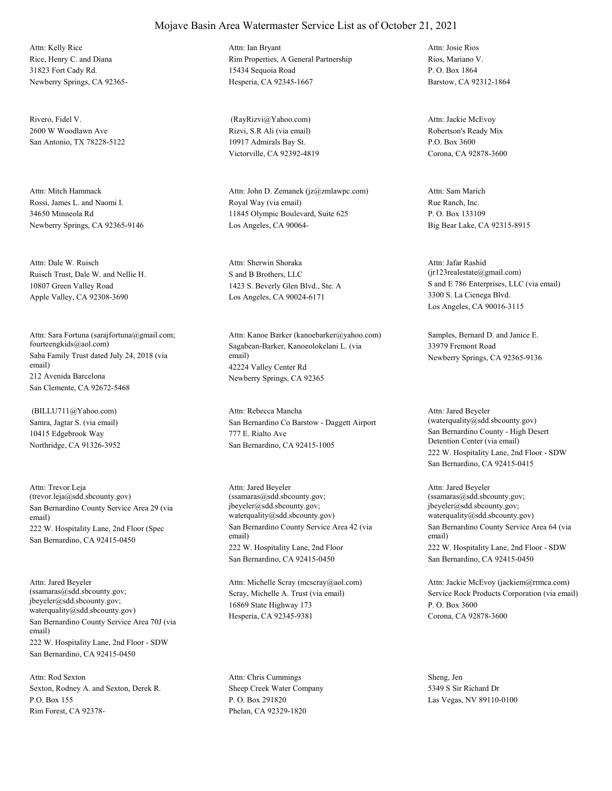Rice, Henry C. and Diana 31823 Fort Cady Rd. Newberry Springs, CA 92365- Attn: Kelly Rice

Rivero, Fidel V. 2600 W Woodlawn Ave San Antonio, TX 78228-5122

Rossi, James L. and Naomi I. 34650 Minneola Rd Newberry Springs, CA 92365-9146 Attn: Mitch Hammack

Ruisch Trust, Dale W. and Nellie H. 10807 Green Valley Road Apple Valley, CA 92308-3690 Attn: Dale W. Ruisch

Saba Family Trust dated July 24, 2018 (via email) 212 Avenida Barcelona San Clemente, CA 92672-5468 Attn: Sara Fortuna (sarajfortuna@gmail.com; fourteengkids@aol.com) Sagabean-Barker, Kanoeolokelani L. (via

Samra, Jagtar S. (via email) 10415 Edgebrook Way Northridge, CA 91326-3952 (BILLU711@Yahoo.com)

San Bernardino County Service Area 29 (via email) 222 W. Hospitality Lane, 2nd Floor (Spec San Bernardino, CA 92415-0450 Attn: Trevor Leja (trevor.leja@sdd.sbcounty.gov)

San Bernardino County Service Area 70J (via email) 222 W. Hospitality Lane, 2nd Floor - SDW San Bernardino, CA 92415-0450 Attn: Jared Beyeler (ssamaras@sdd.sbcounty.gov; jbeyeler@sdd.sbcounty.gov; waterquality@sdd.sbcounty.gov)

Sexton, Rodney A. and Sexton, Derek R. P.O. Box 155 Rim Forest, CA 92378- Attn: Rod Sexton

Rim Properties, A General Partnership 15434 Sequoia Road Hesperia, CA 92345-1667 Attn: Ian Bryant

Rizvi, S.R Ali (via email) 10917 Admirals Bay St. Victorville, CA 92392-4819 (RayRizvi@Yahoo.com)

Royal Way (via email) 11845 Olympic Boulevard, Suite 625 Los Angeles, CA 90064- Attn: John D. Zemanek (jz@zmlawpc.com)

S and B Brothers, LLC 1423 S. Beverly Glen Blvd., Ste. A Los Angeles, CA 90024-6171 Attn: Sherwin Shoraka

email) 42224 Valley Center Rd Newberry Springs, CA 92365 Attn: Kanoe Barker (kanoebarker@yahoo.com) Samples, Bernard D. and Janice E.

San Bernardino Co Barstow - Daggett Airport 777 E. Rialto Ave San Bernardino, CA 92415-1005 Attn: Rebecca Mancha

San Bernardino County Service Area 42 (via email) 222 W. Hospitality Lane, 2nd Floor San Bernardino, CA 92415-0450 Attn: Jared Beyeler (ssamaras@sdd.sbcounty.gov; jbeyeler@sdd.sbcounty.gov; waterquality@sdd.sbcounty.gov)

Scray, Michelle A. Trust (via email) 16869 State Highway 173 Hesperia, CA 92345-9381 Attn: Michelle Scray (mcscray@aol.com)

Sheep Creek Water Company P. O. Box 291820 Phelan, CA 92329-1820 Attn: Chris Cummings Sheng, Jen

Rios, Mariano V. P. O. Box 1864 Barstow, CA 92312-1864 Attn: Josie Rios

Robertson's Ready Mix P.O. Box 3600 Corona, CA 92878-3600 Attn: Jackie McEvoy

Rue Ranch, Inc. P. O. Box 133109 Big Bear Lake, CA 92315-8915 Attn: Sam Marich

S and E 786 Enterprises, LLC (via email) 3300 S. La Cienega Blvd. Los Angeles, CA 90016-3115 Attn: Jafar Rashid (jr123realestate@gmail.com)

33979 Fremont Road Newberry Springs, CA 92365-9136

San Bernardino County - High Desert Detention Center (via email) 222 W. Hospitality Lane, 2nd Floor - SDW San Bernardino, CA 92415-0415 Attn: Jared Beyeler (waterquality@sdd.sbcounty.gov)

San Bernardino County Service Area 64 (via email) 222 W. Hospitality Lane, 2nd Floor - SDW San Bernardino, CA 92415-0450 Attn: Jared Beyeler (ssamaras@sdd.sbcounty.gov; jbeyeler@sdd.sbcounty.gov; waterquality@sdd.sbcounty.gov)

Service Rock Products Corporation (via email) P. O. Box 3600 Corona, CA 92878-3600 Attn: Jackie McEvoy (jackiem@rrmca.com)

5349 S Sir Richard Dr Las Vegas, NV 89110-0100

### Mojave Basin Area Watermaster Service List as of October 21, 2021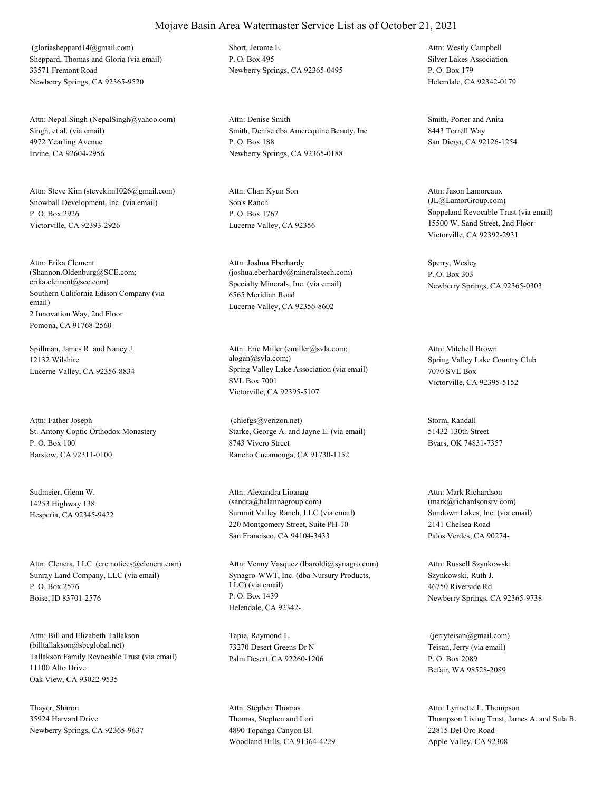Sheppard, Thomas and Gloria (via email) 33571 Fremont Road Newberry Springs, CA 92365-9520 (gloriasheppard14@gmail.com) Short, Jerome E.

Singh, et al. (via email) 4972 Yearling Avenue Irvine, CA 92604-2956 Attn: Nepal Singh (NepalSingh@yahoo.com)

Snowball Development, Inc. (via email) P. O. Box 2926 Victorville, CA 92393-2926 Attn: Steve Kim (stevekim1026@gmail.com)

Southern California Edison Company (via email) 2 Innovation Way, 2nd Floor Pomona, CA 91768-2560 Attn: Erika Clement (Shannon.Oldenburg@SCE.com; erika.clement@sce.com) Specialty Minerals, Inc. (via email)

Spillman, James R. and Nancy J. 12132 Wilshire

St. Antony Coptic Orthodox Monastery P. O. Box 100 Barstow, CA 92311-0100 Attn: Father Joseph

Sudmeier, Glenn W. 14253 Highway 138

Sunray Land Company, LLC (via email) P. O. Box 2576 Boise, ID 83701-2576 Attn: Clenera, LLC (cre.notices@clenera.com)

Tallakson Family Revocable Trust (via email) 11100 Alto Drive Oak View, CA 93022-9535 Attn: Bill and Elizabeth Tallakson (billtallakson@sbcglobal.net)

Thayer, Sharon 35924 Harvard Drive Newberry Springs, CA 92365-9637 P. O. Box 495 Newberry Springs, CA 92365-0495

Smith, Denise dba Amerequine Beauty, Inc P. O. Box 188 Newberry Springs, CA 92365-0188 Attn: Denise Smith Smith, Porter and Anita

Son's Ranch P. O. Box 1767 Lucerne Valley, CA 92356 Attn: Chan Kyun Son

6565 Meridian Road Lucerne Valley, CA 92356-8602 Attn: Joshua Eberhardy (joshua.eberhardy@mineralstech.com)

Lucerne Valley, CA 92356-8834 Spring Valley Lake Association (via email) SVL Box 7001 Victorville, CA 92395-5107 Attn: Eric Miller (emiller@svla.com; alogan@svla.com;) Spring Valley Lake Country Club

> Starke, George A. and Jayne E. (via email) 8743 Vivero Street Rancho Cucamonga, CA 91730-1152 (chiefgs@verizon.net) Storm, Randall

Hesperia, CA 92345-9422 Summit Valley Ranch, LLC (via email) 220 Montgomery Street, Suite PH-10 San Francisco, CA 94104-3433 Attn: Alexandra Lioanag (sandra@halannagroup.com)

> Synagro-WWT, Inc. (dba Nursury Products, LLC) (via email) P. O. Box 1439 Helendale, CA 92342- Attn: Venny Vasquez (lbaroldi@synagro.com)

Tapie, Raymond L. 73270 Desert Greens Dr N Palm Desert, CA 92260-1206

Thomas, Stephen and Lori 4890 Topanga Canyon Bl. Woodland Hills, CA 91364-4229 Attn: Stephen Thomas

Silver Lakes Association P. O. Box 179 Helendale, CA 92342-0179 Attn: Westly Campbell

8443 Torrell Way San Diego, CA 92126-1254

Soppeland Revocable Trust (via email) 15500 W. Sand Street, 2nd Floor Victorville, CA 92392-2931 Attn: Jason Lamoreaux (JL@LamorGroup.com)

Sperry, Wesley P. O. Box 303 Newberry Springs, CA 92365-0303

7070 SVL Box Victorville, CA 92395-5152 Attn: Mitchell Brown

51432 130th Street Byars, OK 74831-7357

Sundown Lakes, Inc. (via email) 2141 Chelsea Road Palos Verdes, CA 90274- Attn: Mark Richardson (mark@richardsonsrv.com)

Szynkowski, Ruth J. 46750 Riverside Rd. Newberry Springs, CA 92365-9738 Attn: Russell Szynkowski

Teisan, Jerry (via email) P. O. Box 2089 Befair, WA 98528-2089 (jerryteisan@gmail.com)

Thompson Living Trust, James A. and Sula B. 22815 Del Oro Road Apple Valley, CA 92308 Attn: Lynnette L. Thompson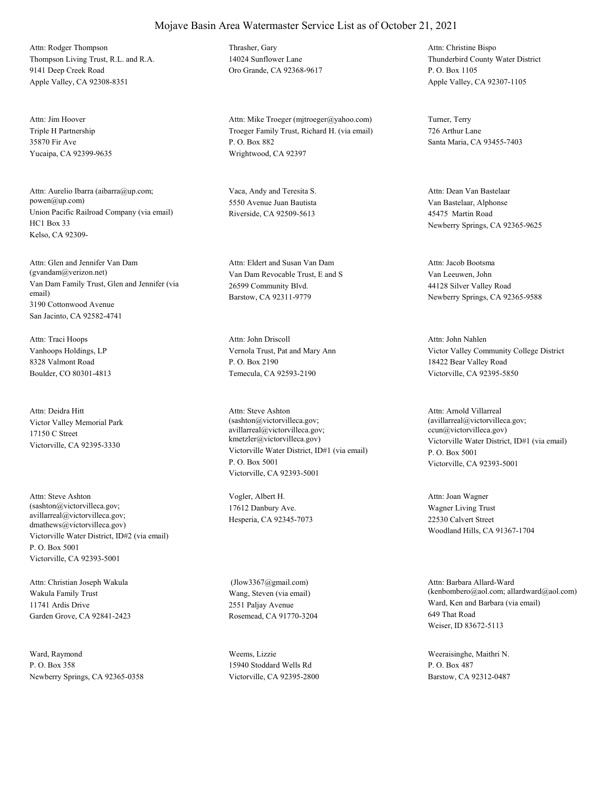Thompson Living Trust, R.L. and R.A. 9141 Deep Creek Road Apple Valley, CA 92308-8351 Attn: Rodger Thompson Thrasher, Gary

Triple H Partnership 35870 Fir Ave Yucaipa, CA 92399-9635 Attn: Jim Hoover

Union Pacific Railroad Company (via email) HC1 Box 33 Kelso, CA 92309- Attn: Aurelio Ibarra (aibarra@up.com; powen@up.com)

Van Dam Family Trust, Glen and Jennifer (via email) 3190 Cottonwood Avenue San Jacinto, CA 92582-4741 Attn: Glen and Jennifer Van Dam (gvandam@verizon.net) Van Dam Revocable Trust, E and S

Vanhoops Holdings, LP 8328 Valmont Road Boulder, CO 80301-4813 Attn: Traci Hoops

Victor Valley Memorial Park 17150 C Street Victorville, CA 92395-3330 Attn: Deidra Hitt

Victorville Water District, ID#2 (via email) P. O. Box 5001 Victorville, CA 92393-5001 Attn: Steve Ashton (sashton@victorvilleca.gov; avillarreal@victorvilleca.gov; dmathews@victorvilleca.gov)

Wakula Family Trust 11741 Ardis Drive Garden Grove, CA 92841-2423 Attn: Christian Joseph Wakula

Ward, Raymond P. O. Box 358 Newberry Springs, CA 92365-0358 14024 Sunflower Lane Oro Grande, CA 92368-9617

Troeger Family Trust, Richard H. (via email) P. O. Box 882 Wrightwood, CA 92397 Attn: Mike Troeger (mjtroeger@yahoo.com) Turner, Terry

Vaca, Andy and Teresita S. 5550 Avenue Juan Bautista Riverside, CA 92509-5613

26599 Community Blvd. Barstow, CA 92311-9779 Attn: Eldert and Susan Van Dam

Vernola Trust, Pat and Mary Ann P. O. Box 2190 Temecula, CA 92593-2190 Attn: John Driscoll

Victorville Water District, ID#1 (via email) P. O. Box 5001 Victorville, CA 92393-5001 Attn: Steve Ashton (sashton@victorvilleca.gov; avillarreal@victorvilleca.gov; kmetzler@victorvilleca.gov) Victorville Water District, ID#1 (via email)

Vogler, Albert H. 17612 Danbury Ave. Hesperia, CA 92345-7073

Wang, Steven (via email) 2551 Paljay Avenue Rosemead, CA 91770-3204 (Jlow3367@gmail.com)

Weems, Lizzie 15940 Stoddard Wells Rd Victorville, CA 92395-2800

Thunderbird County Water District P. O. Box 1105 Apple Valley, CA 92307-1105 Attn: Christine Bispo

726 Arthur Lane Santa Maria, CA 93455-7403

Van Bastelaar, Alphonse 45475 Martin Road Newberry Springs, CA 92365-9625 Attn: Dean Van Bastelaar

Van Leeuwen, John 44128 Silver Valley Road Newberry Springs, CA 92365-9588 Attn: Jacob Bootsma

Victor Valley Community College District 18422 Bear Valley Road Victorville, CA 92395-5850 Attn: John Nahlen

P. O. Box 5001 Victorville, CA 92393-5001 Attn: Arnold Villarreal (avillarreal@victorvilleca.gov; ccun@victorvilleca.gov)

Wagner Living Trust 22530 Calvert Street Woodland Hills, CA 91367-1704 Attn: Joan Wagner

Ward, Ken and Barbara (via email) 649 That Road Weiser, ID 83672-5113 Attn: Barbara Allard-Ward (kenbombero@aol.com; allardward@aol.com)

Weeraisinghe, Maithri N. P. O. Box 487 Barstow, CA 92312-0487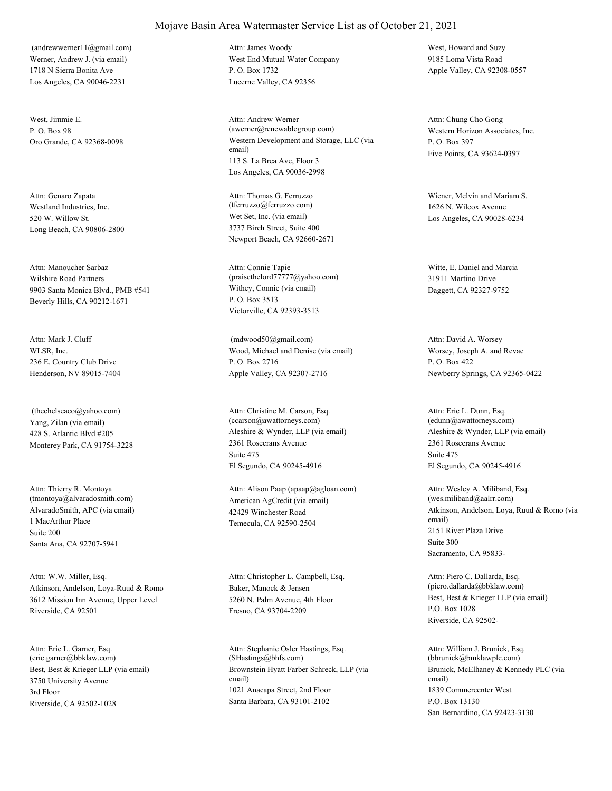Werner, Andrew J. (via email) 1718 N Sierra Bonita Ave Los Angeles, CA 90046-2231 (andrewwerner11@gmail.com)

West, Jimmie E.  $P \cap \text{Box } 98$ 

Westland Industries, Inc. 520 W. Willow St. Long Beach, CA 90806-2800 Attn: Genaro Zapata

Wilshire Road Partners 9903 Santa Monica Blvd., PMB #541 Beverly Hills, CA 90212-1671 Attn: Manoucher Sarbaz

WLSR, Inc. 236 E. Country Club Drive Henderson, NV 89015-7404 Attn: Mark J. Cluff

Yang, Zilan (via email) 428 S. Atlantic Blvd #205 Monterey Park, CA 91754-3228 (thechelseaco@yahoo.com)

AlvaradoSmith, APC (via email) 1 MacArthur Place Santa Ana, CA 92707-5941 Attn: Thierry R. Montoya (tmontoya@alvaradosmith.com) Suite 200

Atkinson, Andelson, Loya-Ruud & Romo 3612 Mission Inn Avenue, Upper Level Riverside, CA 92501 Attn: W.W. Miller, Esq.

Best, Best & Krieger LLP (via email) 3750 University Avenue Riverside, CA 92502-1028 Attn: Eric L. Garner, Esq. (eric.garner@bbklaw.com) 3rd Floor

West End Mutual Water Company P. O. Box 1732 Lucerne Valley, CA 92356 Attn: James Woody West, Howard and Suzy

Oro Grande, CA 92368-0098 Western Development and Storage, LLC (via email) 113 S. La Brea Ave, Floor 3 Los Angeles, CA 90036-2998 Attn: Andrew Werner (awerner@renewablegroup.com) Western Horizon Associates, Inc.

> Wet Set, Inc. (via email) 3737 Birch Street, Suite 400 Newport Beach, CA 92660-2671 Attn: Thomas G. Ferruzzo (tferruzzo@ferruzzo.com)

Withey, Connie (via email) P. O. Box 3513 Victorville, CA 92393-3513 Attn: Connie Tapie (praisethelord77777@yahoo.com)

Wood, Michael and Denise (via email) P. O. Box 2716 Apple Valley, CA 92307-2716 (mdwood50@gmail.com)

Aleshire & Wynder, LLP (via email) 2361 Rosecrans Avenue El Segundo, CA 90245-4916 Attn: Christine M. Carson, Esq. (ccarson@awattorneys.com) Suite 475

American AgCredit (via email) 42429 Winchester Road Temecula, CA 92590-2504 Attn: Alison Paap (apaap@agloan.com)

Baker, Manock & Jensen 5260 N. Palm Avenue, 4th Floor Fresno, CA 93704-2209 Attn: Christopher L. Campbell, Esq.

Brownstein Hyatt Farber Schreck, LLP (via email) 1021 Anacapa Street, 2nd Floor Santa Barbara, CA 93101-2102 Attn: Stephanie Osler Hastings, Esq. (SHastings@bhfs.com)

9185 Loma Vista Road Apple Valley, CA 92308-0557

P. O. Box 397 Five Points, CA 93624-0397 Attn: Chung Cho Gong

Wiener, Melvin and Mariam S. 1626 N. Wilcox Avenue Los Angeles, CA 90028-6234

Witte, E. Daniel and Marcia 31911 Martino Drive Daggett, CA 92327-9752

Worsey, Joseph A. and Revae P. O. Box 422 Newberry Springs, CA 92365-0422 Attn: David A. Worsey

Aleshire & Wynder, LLP (via email) 2361 Rosecrans Avenue El Segundo, CA 90245-4916 Attn: Eric L. Dunn, Esq. (edunn@awattorneys.com) Suite 475

Atkinson, Andelson, Loya, Ruud & Romo (via email) 2151 River Plaza Drive Sacramento, CA 95833- Attn: Wesley A. Miliband, Esq. (wes.miliband@aalrr.com) Suite 300

Best, Best & Krieger LLP (via email) P.O. Box 1028 Riverside, CA 92502- Attn: Piero C. Dallarda, Esq. (piero.dallarda@bbklaw.com)

Brunick, McElhaney & Kennedy PLC (via email) 1839 Commercenter West San Bernardino, CA 92423-3130 Attn: William J. Brunick, Esq. (bbrunick@bmklawplc.com) P.O. Box 13130

## Mojave Basin Area Watermaster Service List as of October 21, 2021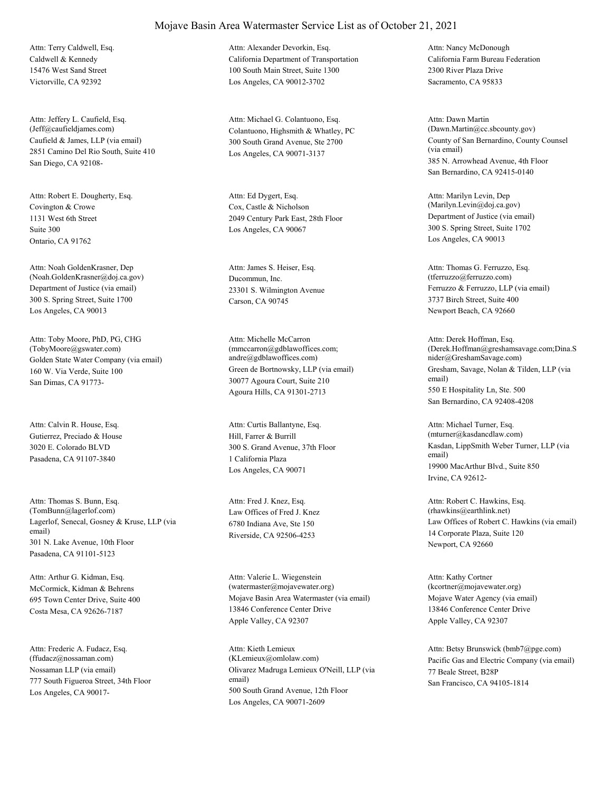Caldwell & Kennedy 15476 West Sand Street Victorville, CA 92392 Attn: Terry Caldwell, Esq.

Caufield & James, LLP (via email) 2851 Camino Del Rio South, Suite 410 San Diego, CA 92108- Attn: Jeffery L. Caufield, Esq.

Covington & Crowe 1131 West 6th Street Ontario, CA 91762 Attn: Robert E. Dougherty, Esq. Suite 300

Department of Justice (via email) 300 S. Spring Street, Suite 1700 Los Angeles, CA 90013 Attn: Noah GoldenKrasner, Dep (Noah.GoldenKrasner@doj.ca.gov) Ducommun, Inc.

Golden State Water Company (via email) 160 W. Via Verde, Suite 100 San Dimas, CA 91773- Attn: Toby Moore, PhD, PG, CHG (TobyMoore@gswater.com)

Gutierrez, Preciado & House 3020 E. Colorado BLVD Pasadena, CA 91107-3840 Attn: Calvin R. House, Esq.

Lagerlof, Senecal, Gosney & Kruse, LLP (via email) 301 N. Lake Avenue, 10th Floor Pasadena, CA 91101-5123 Attn: Thomas S. Bunn, Esq. (TomBunn@lagerlof.com) Law Offices of Fred J. Knez

McCormick, Kidman & Behrens 695 Town Center Drive, Suite 400 Costa Mesa, CA 92626-7187 Attn: Arthur G. Kidman, Esq.

Nossaman LLP (via email) 777 South Figueroa Street, 34th Floor Los Angeles, CA 90017- Attn: Frederic A. Fudacz, Esq. (ffudacz@nossaman.com)

# Mojave Basin Area Watermaster Service List as of October 21, 2021 Attn: Alexander Devorkin, Esq.

California Department of Transportation 100 South Main Street, Suite 1300 Los Angeles, CA 90012-3702

(Jeff@caufieldjames.com) Colantuono, Highsmith & Whatley, PC 300 South Grand Avenue, Ste 2700 Los Angeles, CA 90071-3137 Attn: Michael G. Colantuono, Esq.

> Cox, Castle & Nicholson 2049 Century Park East, 28th Floor Los Angeles, CA 90067 Attn: Ed Dygert, Esq.

23301 S. Wilmington Avenue Carson, CA 90745 Attn: James S. Heiser, Esq.

Green de Bortnowsky, LLP (via email) 30077 Agoura Court, Suite 210 Agoura Hills, CA 91301-2713 Attn: Michelle McCarron (mmccarron@gdblawoffices.com; andre@gdblawoffices.com)

Hill, Farrer & Burrill 300 S. Grand Avenue, 37th Floor Los Angeles, CA 90071 Attn: Curtis Ballantyne, Esq. 1 California Plaza

6780 Indiana Ave, Ste 150 Riverside, CA 92506-4253 Attn: Fred J. Knez, Esq.

Mojave Basin Area Watermaster (via email) 13846 Conference Center Drive Apple Valley, CA 92307 Attn: Valerie L. Wiegenstein (watermaster@mojavewater.org)

Olivarez Madruga Lemieux O'Neill, LLP (via email) 500 South Grand Avenue, 12th Floor Los Angeles, CA 90071-2609 Attn: Kieth Lemieux

California Farm Bureau Federation 2300 River Plaza Drive Sacramento, CA 95833 Attn: Nancy McDonough

County of San Bernardino, County Counsel (via email) 385 N. Arrowhead Avenue, 4th Floor San Bernardino, CA 92415-0140 Attn: Dawn Martin (Dawn.Martin@cc.sbcounty.gov)

Department of Justice (via email) 300 S. Spring Street, Suite 1702 Los Angeles, CA 90013 Attn: Marilyn Levin, Dep (Marilyn.Levin@doj.ca.gov)

Ferruzzo & Ferruzzo, LLP (via email) 3737 Birch Street, Suite 400 Newport Beach, CA 92660 Attn: Thomas G. Ferruzzo, Esq. (tferruzzo@ferruzzo.com)

Gresham, Savage, Nolan & Tilden, LLP (via email) 550 E Hospitality Ln, Ste. 500 San Bernardino, CA 92408-4208 Attn: Derek Hoffman, Esq. (Derek.Hoffman@greshamsavage.com;Dina.S nider@GreshamSavage.com)

Kasdan, LippSmith Weber Turner, LLP (via email) 19900 MacArthur Blvd., Suite 850 Irvine, CA 92612- Attn: Michael Turner, Esq. (mturner@kasdancdlaw.com)

Law Offices of Robert C. Hawkins (via email) 14 Corporate Plaza, Suite 120 Newport, CA 92660 Attn: Robert C. Hawkins, Esq. (rhawkins@earthlink.net)

Mojave Water Agency (via email) 13846 Conference Center Drive Apple Valley, CA 92307 Attn: Kathy Cortner (kcortner@mojavewater.org)

(KLemieux@omlolaw.com) Pacific Gas and Electric Company (via email) 77 Beale Street, B28P San Francisco, CA 94105-1814 Attn: Betsy Brunswick (bmb7@pge.com)